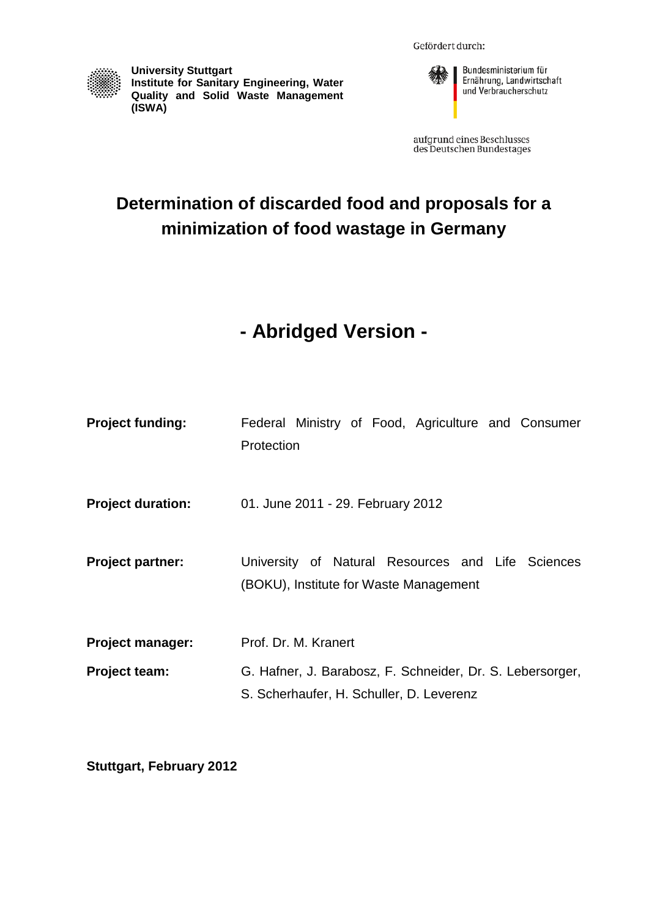Gefördert durch:



**University Stuttgart Institute for Sanitary Engineering, Water Quality and Solid Waste Management (ISWA)**



aufgrund eines Beschlusses<br>des Deutschen Bundestages

# **Determination of discarded food and proposals for a minimization of food wastage in Germany**

# **- Abridged Version -**

| <b>Project funding:</b>  | Federal Ministry of Food, Agriculture and Consumer<br>Protection                                      |  |  |  |  |  |
|--------------------------|-------------------------------------------------------------------------------------------------------|--|--|--|--|--|
| <b>Project duration:</b> | 01. June 2011 - 29. February 2012                                                                     |  |  |  |  |  |
| <b>Project partner:</b>  | University of Natural Resources and Life Sciences<br>(BOKU), Institute for Waste Management           |  |  |  |  |  |
| <b>Project manager:</b>  | Prof. Dr. M. Kranert                                                                                  |  |  |  |  |  |
| <b>Project team:</b>     | G. Hafner, J. Barabosz, F. Schneider, Dr. S. Lebersorger,<br>S. Scherhaufer, H. Schuller, D. Leverenz |  |  |  |  |  |

**Stuttgart, February 2012**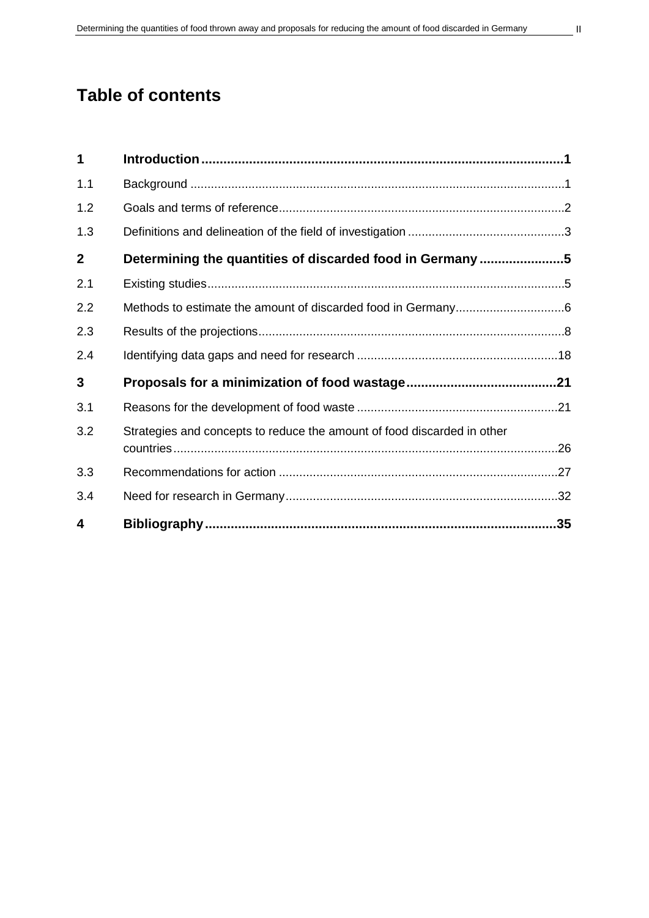# **Table of contents**

| 1              |                                                                         |     |
|----------------|-------------------------------------------------------------------------|-----|
| 1.1            |                                                                         |     |
| 1.2            |                                                                         |     |
| 1.3            |                                                                         |     |
| $\overline{2}$ | Determining the quantities of discarded food in Germany 5               |     |
| 2.1            |                                                                         |     |
| 2.2            |                                                                         |     |
| 2.3            |                                                                         |     |
| 2.4            |                                                                         |     |
| 3              |                                                                         |     |
| 3.1            |                                                                         |     |
| 3.2            | Strategies and concepts to reduce the amount of food discarded in other |     |
| 3.3            |                                                                         |     |
| 3.4            |                                                                         |     |
| 4              |                                                                         | .35 |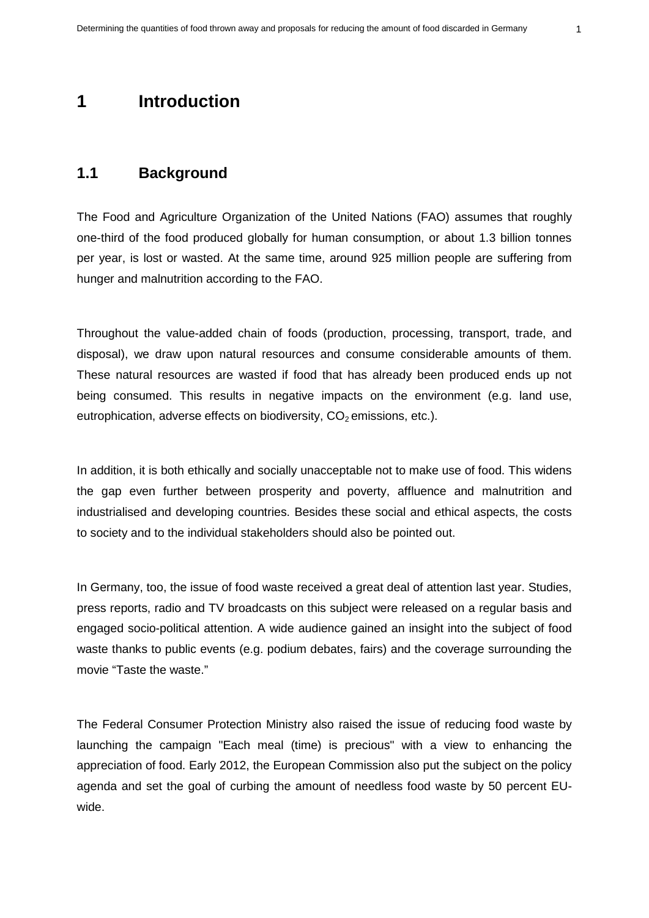# <span id="page-2-0"></span>**1 Introduction**

## <span id="page-2-1"></span>**1.1 Background**

The Food and Agriculture Organization of the United Nations (FAO) assumes that roughly one-third of the food produced globally for human consumption, or about 1.3 billion tonnes per year, is lost or wasted. At the same time, around 925 million people are suffering from hunger and malnutrition according to the FAO.

Throughout the value-added chain of foods (production, processing, transport, trade, and disposal), we draw upon natural resources and consume considerable amounts of them. These natural resources are wasted if food that has already been produced ends up not being consumed. This results in negative impacts on the environment (e.g. land use, eutrophication, adverse effects on biodiversity,  $CO<sub>2</sub>$  emissions, etc.).

In addition, it is both ethically and socially unacceptable not to make use of food. This widens the gap even further between prosperity and poverty, affluence and malnutrition and industrialised and developing countries. Besides these social and ethical aspects, the costs to society and to the individual stakeholders should also be pointed out.

In Germany, too, the issue of food waste received a great deal of attention last year. Studies, press reports, radio and TV broadcasts on this subject were released on a regular basis and engaged socio-political attention. A wide audience gained an insight into the subject of food waste thanks to public events (e.g. podium debates, fairs) and the coverage surrounding the movie "Taste the waste."

The Federal Consumer Protection Ministry also raised the issue of reducing food waste by launching the campaign "Each meal (time) is precious" with a view to enhancing the appreciation of food. Early 2012, the European Commission also put the subject on the policy agenda and set the goal of curbing the amount of needless food waste by 50 percent EUwide.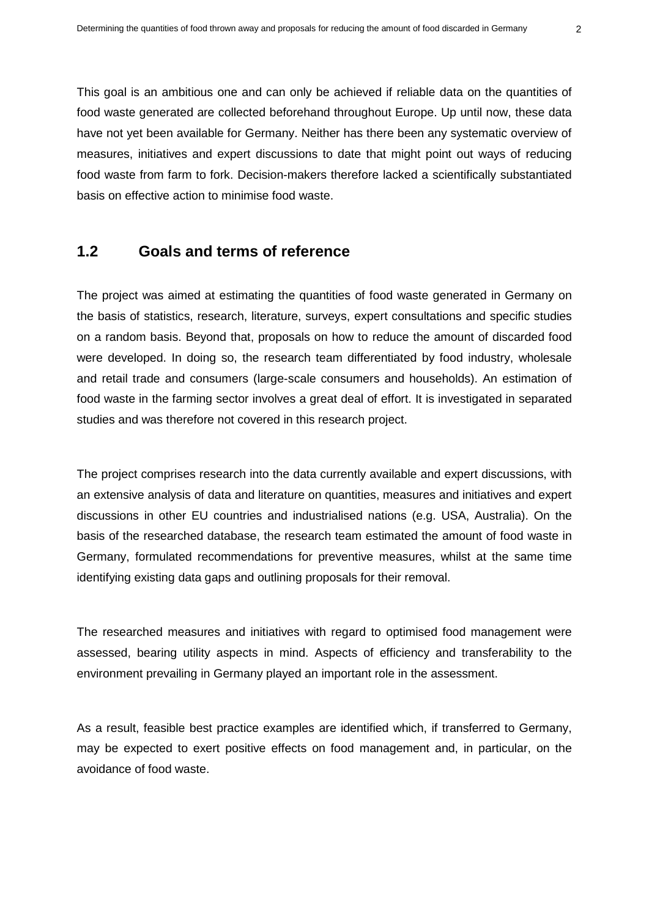This goal is an ambitious one and can only be achieved if reliable data on the quantities of food waste generated are collected beforehand throughout Europe. Up until now, these data have not yet been available for Germany. Neither has there been any systematic overview of measures, initiatives and expert discussions to date that might point out ways of reducing food waste from farm to fork. Decision-makers therefore lacked a scientifically substantiated basis on effective action to minimise food waste.

## <span id="page-3-0"></span>**1.2 Goals and terms of reference**

The project was aimed at estimating the quantities of food waste generated in Germany on the basis of statistics, research, literature, surveys, expert consultations and specific studies on a random basis. Beyond that, proposals on how to reduce the amount of discarded food were developed. In doing so, the research team differentiated by food industry, wholesale and retail trade and consumers (large-scale consumers and households). An estimation of food waste in the farming sector involves a great deal of effort. It is investigated in separated studies and was therefore not covered in this research project.

The project comprises research into the data currently available and expert discussions, with an extensive analysis of data and literature on quantities, measures and initiatives and expert discussions in other EU countries and industrialised nations (e.g. USA, Australia). On the basis of the researched database, the research team estimated the amount of food waste in Germany, formulated recommendations for preventive measures, whilst at the same time identifying existing data gaps and outlining proposals for their removal.

The researched measures and initiatives with regard to optimised food management were assessed, bearing utility aspects in mind. Aspects of efficiency and transferability to the environment prevailing in Germany played an important role in the assessment.

<span id="page-3-1"></span>As a result, feasible best practice examples are identified which, if transferred to Germany, may be expected to exert positive effects on food management and, in particular, on the avoidance of food waste.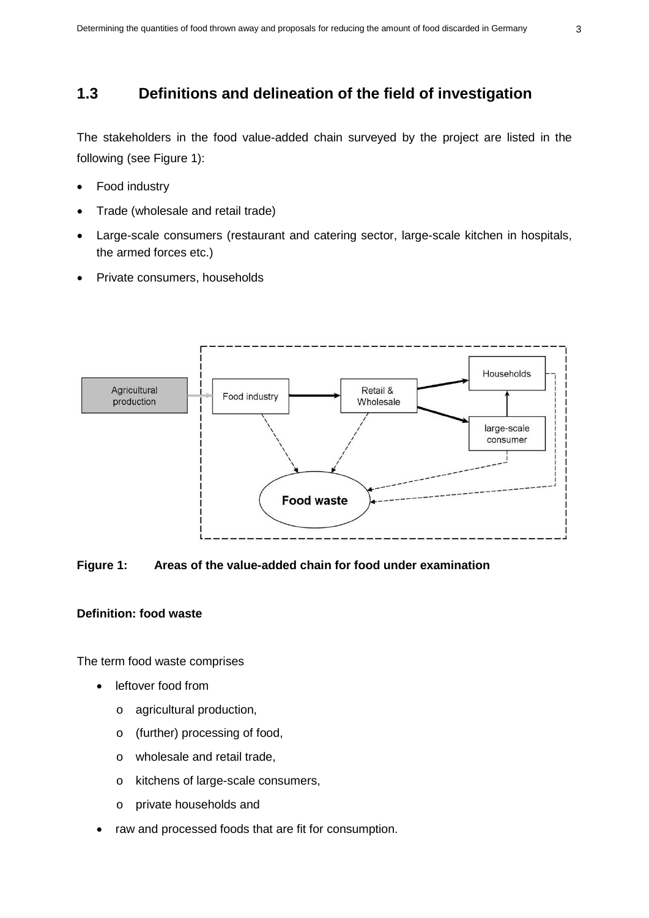## **1.3 Definitions and delineation of the field of investigation**

The stakeholders in the food value-added chain surveyed by the project are listed in the following (see Figure 1):

- Food industry
- Trade (wholesale and retail trade)
- Large-scale consumers (restaurant and catering sector, large-scale kitchen in hospitals, the armed forces etc.)
- Private consumers, households



#### **Figure 1: Areas of the value-added chain for food under examination**

#### **Definition: food waste**

The term food waste comprises

- leftover food from
	- o agricultural production,
	- o (further) processing of food,
	- o wholesale and retail trade,
	- o kitchens of large-scale consumers,
	- o private households and
- raw and processed foods that are fit for consumption.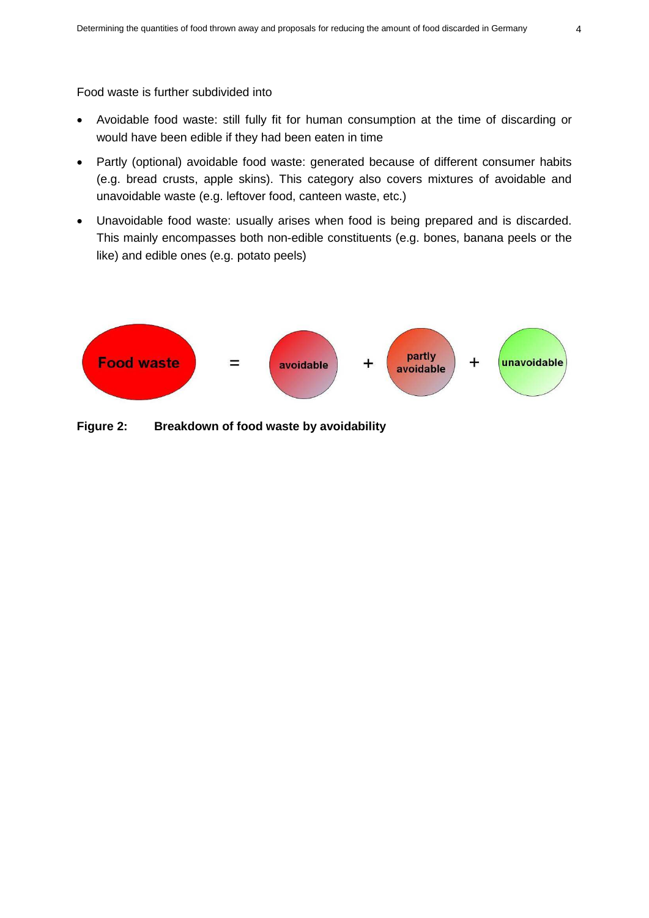Food waste is further subdivided into

- Avoidable food waste: still fully fit for human consumption at the time of discarding or would have been edible if they had been eaten in time
- Partly (optional) avoidable food waste: generated because of different consumer habits (e.g. bread crusts, apple skins). This category also covers mixtures of avoidable and unavoidable waste (e.g. leftover food, canteen waste, etc.)
- Unavoidable food waste: usually arises when food is being prepared and is discarded. This mainly encompasses both non-edible constituents (e.g. bones, banana peels or the like) and edible ones (e.g. potato peels)



**Figure 2: Breakdown of food waste by avoidability**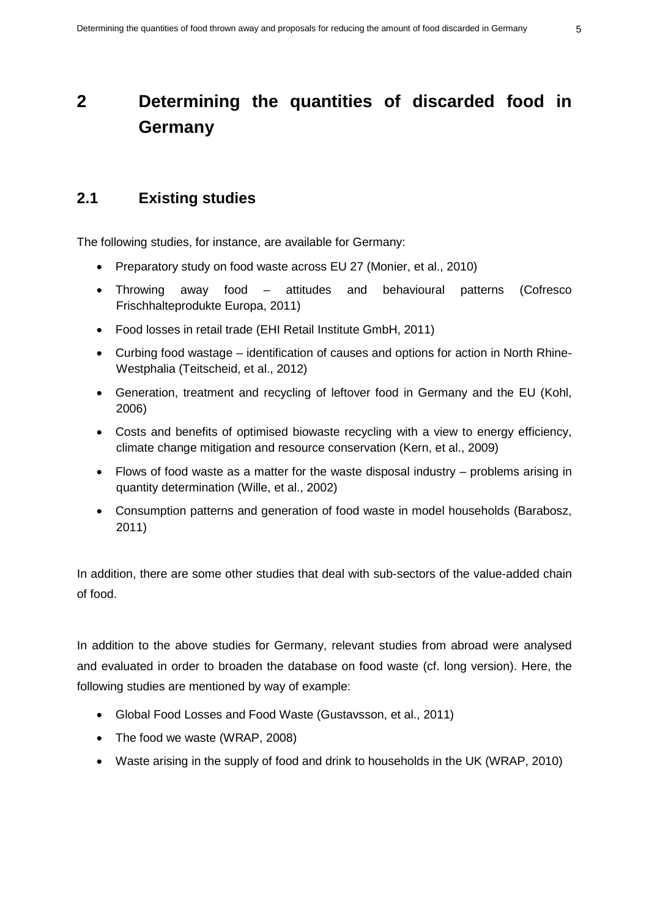# <span id="page-6-0"></span>**2 Determining the quantities of discarded food in Germany**

## <span id="page-6-1"></span>**2.1 Existing studies**

The following studies, for instance, are available for Germany:

- Preparatory study on food waste across EU 27 (Monier, et al., 2010)
- Throwing away food attitudes and behavioural patterns (Cofresco Frischhalteprodukte Europa, 2011)
- Food losses in retail trade (EHI Retail Institute GmbH, 2011)
- Curbing food wastage identification of causes and options for action in North Rhine-Westphalia (Teitscheid, et al., 2012)
- Generation, treatment and recycling of leftover food in Germany and the EU (Kohl, 2006)
- Costs and benefits of optimised biowaste recycling with a view to energy efficiency, climate change mitigation and resource conservation (Kern, et al., 2009)
- Flows of food waste as a matter for the waste disposal industry problems arising in quantity determination (Wille, et al., 2002)
- Consumption patterns and generation of food waste in model households (Barabosz, 2011)

In addition, there are some other studies that deal with sub-sectors of the value-added chain of food.

In addition to the above studies for Germany, relevant studies from abroad were analysed and evaluated in order to broaden the database on food waste (cf. long version). Here, the following studies are mentioned by way of example:

- Global Food Losses and Food Waste (Gustavsson, et al., 2011)
- The food we waste (WRAP, 2008)
- Waste arising in the supply of food and drink to households in the UK (WRAP, 2010)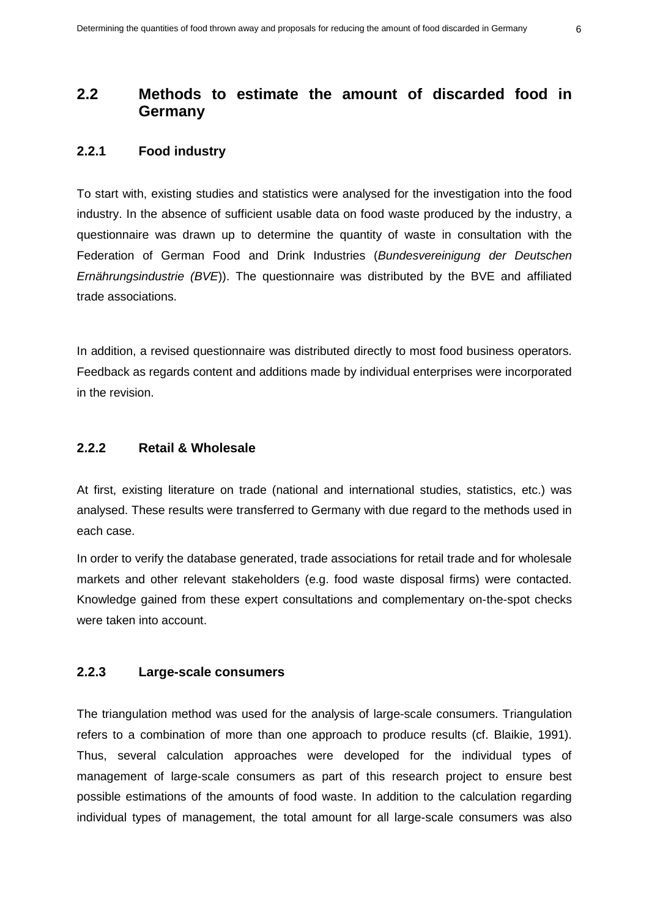## <span id="page-7-0"></span>**2.2 Methods to estimate the amount of discarded food in Germany**

#### **2.2.1 Food industry**

To start with, existing studies and statistics were analysed for the investigation into the food industry. In the absence of sufficient usable data on food waste produced by the industry, a questionnaire was drawn up to determine the quantity of waste in consultation with the Federation of German Food and Drink Industries (*Bundesvereinigung der Deutschen Ernährungsindustrie (BVE*)). The questionnaire was distributed by the BVE and affiliated trade associations.

In addition, a revised questionnaire was distributed directly to most food business operators. Feedback as regards content and additions made by individual enterprises were incorporated in the revision.

#### **2.2.2 Retail & Wholesale**

At first, existing literature on trade (national and international studies, statistics, etc.) was analysed. These results were transferred to Germany with due regard to the methods used in each case.

In order to verify the database generated, trade associations for retail trade and for wholesale markets and other relevant stakeholders (e.g. food waste disposal firms) were contacted. Knowledge gained from these expert consultations and complementary on-the-spot checks were taken into account.

#### **2.2.3 Large-scale consumers**

The triangulation method was used for the analysis of large-scale consumers. Triangulation refers to a combination of more than one approach to produce results (cf. Blaikie, 1991). Thus, several calculation approaches were developed for the individual types of management of large-scale consumers as part of this research project to ensure best possible estimations of the amounts of food waste. In addition to the calculation regarding individual types of management, the total amount for all large-scale consumers was also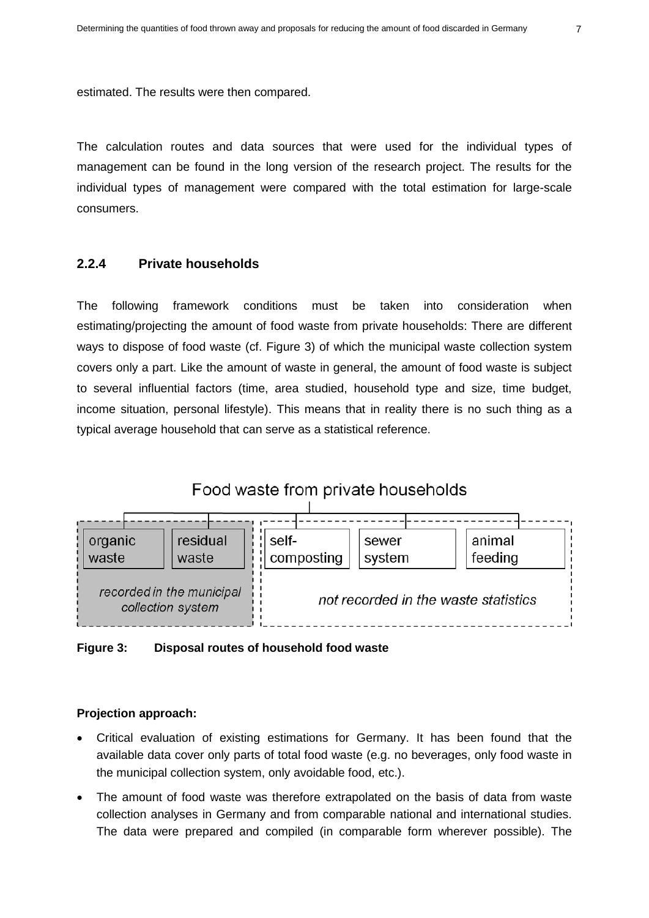estimated. The results were then compared.

The calculation routes and data sources that were used for the individual types of management can be found in the long version of the research project. The results for the individual types of management were compared with the total estimation for large-scale consumers.

#### **2.2.4 Private households**

The following framework conditions must be taken into consideration when estimating/projecting the amount of food waste from private households: There are different ways to dispose of food waste (cf. Figure 3) of which the municipal waste collection system covers only a part. Like the amount of waste in general, the amount of food waste is subject to several influential factors (time, area studied, household type and size, time budget, income situation, personal lifestyle). This means that in reality there is no such thing as a typical average household that can serve as a statistical reference.



**Figure 3: Disposal routes of household food waste**

#### **Projection approach:**

- Critical evaluation of existing estimations for Germany. It has been found that the available data cover only parts of total food waste (e.g. no beverages, only food waste in the municipal collection system, only avoidable food, etc.).
- The amount of food waste was therefore extrapolated on the basis of data from waste collection analyses in Germany and from comparable national and international studies. The data were prepared and compiled (in comparable form wherever possible). The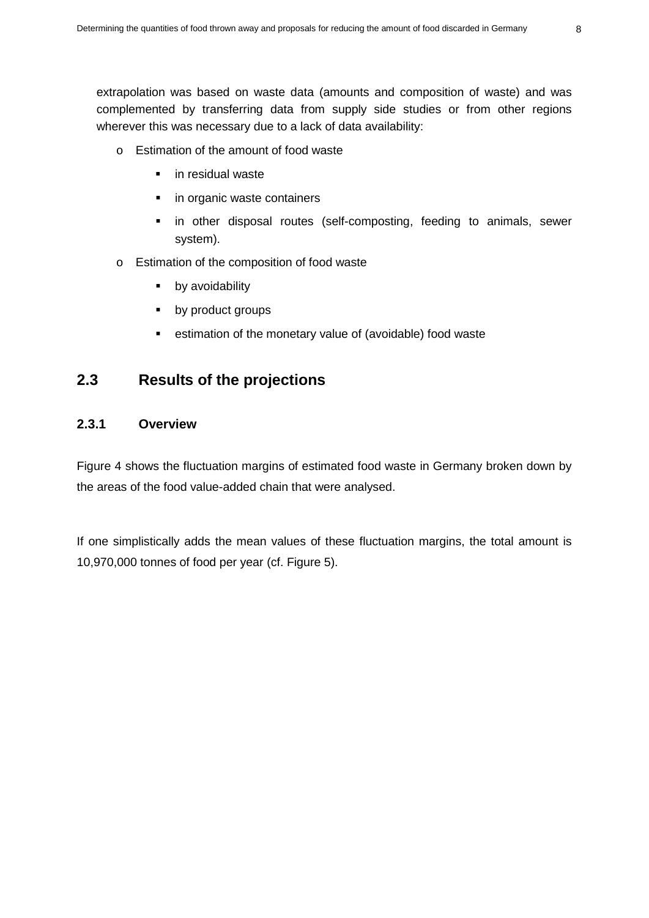extrapolation was based on waste data (amounts and composition of waste) and was complemented by transferring data from supply side studies or from other regions wherever this was necessary due to a lack of data availability:

- o Estimation of the amount of food waste
	- **in residual waste**
	- in organic waste containers
	- **in other disposal routes (self-composting, feeding to animals, sewer** system).
- o Estimation of the composition of food waste
	- by avoidability
	- **by product groups**
	- **EXEC** estimation of the monetary value of (avoidable) food waste

## <span id="page-9-0"></span>**2.3 Results of the projections**

## **2.3.1 Overview**

Figure 4 shows the fluctuation margins of estimated food waste in Germany broken down by the areas of the food value-added chain that were analysed.

If one simplistically adds the mean values of these fluctuation margins, the total amount is 10,970,000 tonnes of food per year (cf. Figure 5).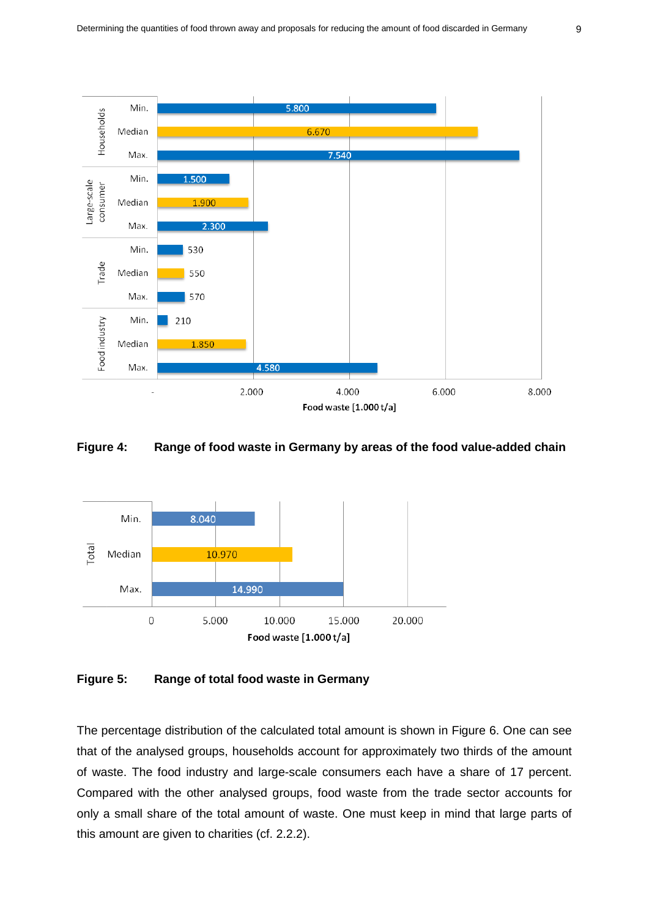

#### **Figure 4: Range of food waste in Germany by areas of the food value-added chain**



#### **Figure 5: Range of total food waste in Germany**

The percentage distribution of the calculated total amount is shown in Figure 6. One can see that of the analysed groups, households account for approximately two thirds of the amount of waste. The food industry and large-scale consumers each have a share of 17 percent. Compared with the other analysed groups, food waste from the trade sector accounts for only a small share of the total amount of waste. One must keep in mind that large parts of this amount are given to charities (cf. 2.2.2).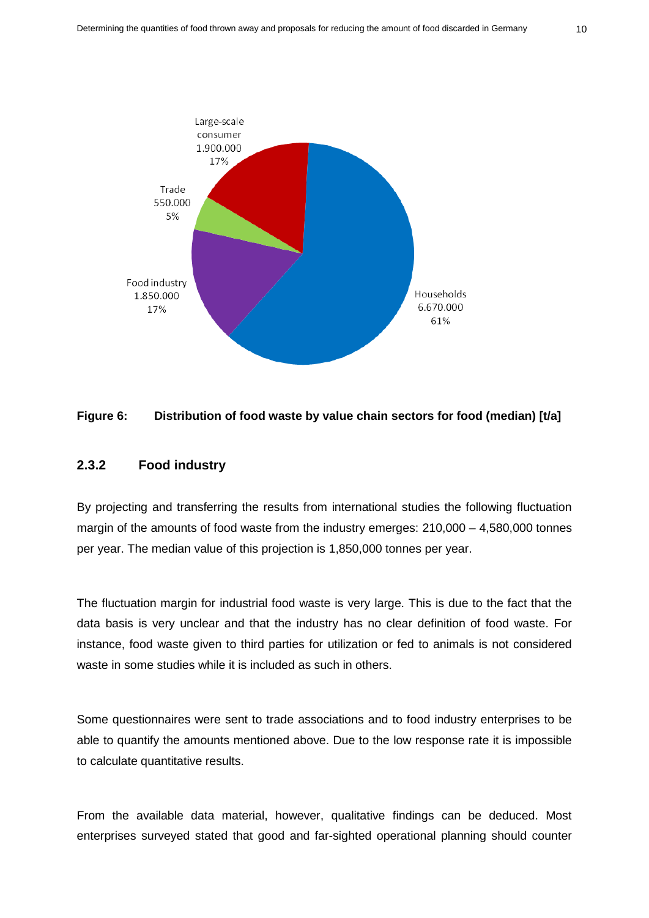

### **Figure 6: Distribution of food waste by value chain sectors for food (median) [t/a]**

#### **2.3.2 Food industry**

By projecting and transferring the results from international studies the following fluctuation margin of the amounts of food waste from the industry emerges: 210,000 – 4,580,000 tonnes per year. The median value of this projection is 1,850,000 tonnes per year.

The fluctuation margin for industrial food waste is very large. This is due to the fact that the data basis is very unclear and that the industry has no clear definition of food waste. For instance, food waste given to third parties for utilization or fed to animals is not considered waste in some studies while it is included as such in others.

Some questionnaires were sent to trade associations and to food industry enterprises to be able to quantify the amounts mentioned above. Due to the low response rate it is impossible to calculate quantitative results.

From the available data material, however, qualitative findings can be deduced. Most enterprises surveyed stated that good and far-sighted operational planning should counter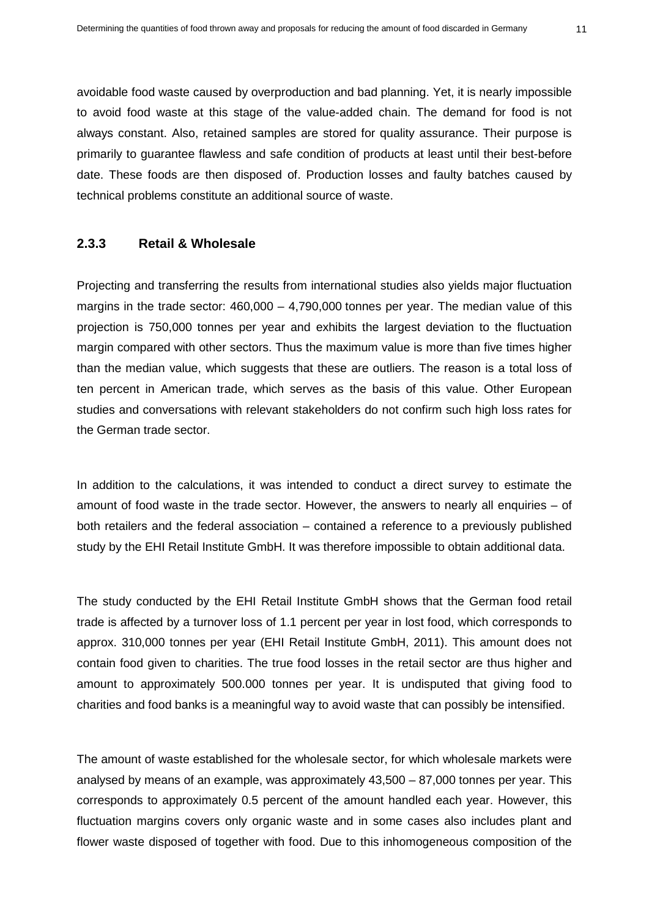avoidable food waste caused by overproduction and bad planning. Yet, it is nearly impossible to avoid food waste at this stage of the value-added chain. The demand for food is not always constant. Also, retained samples are stored for quality assurance. Their purpose is primarily to guarantee flawless and safe condition of products at least until their best-before date. These foods are then disposed of. Production losses and faulty batches caused by technical problems constitute an additional source of waste.

#### **2.3.3 Retail & Wholesale**

Projecting and transferring the results from international studies also yields major fluctuation margins in the trade sector:  $460,000 - 4,790,000$  tonnes per year. The median value of this projection is 750,000 tonnes per year and exhibits the largest deviation to the fluctuation margin compared with other sectors. Thus the maximum value is more than five times higher than the median value, which suggests that these are outliers. The reason is a total loss of ten percent in American trade, which serves as the basis of this value. Other European studies and conversations with relevant stakeholders do not confirm such high loss rates for the German trade sector.

In addition to the calculations, it was intended to conduct a direct survey to estimate the amount of food waste in the trade sector. However, the answers to nearly all enquiries – of both retailers and the federal association – contained a reference to a previously published study by the EHI Retail Institute GmbH. It was therefore impossible to obtain additional data.

The study conducted by the EHI Retail Institute GmbH shows that the German food retail trade is affected by a turnover loss of 1.1 percent per year in lost food, which corresponds to approx. 310,000 tonnes per year (EHI Retail Institute GmbH, 2011). This amount does not contain food given to charities. The true food losses in the retail sector are thus higher and amount to approximately 500.000 tonnes per year. It is undisputed that giving food to charities and food banks is a meaningful way to avoid waste that can possibly be intensified.

The amount of waste established for the wholesale sector, for which wholesale markets were analysed by means of an example, was approximately 43,500 – 87,000 tonnes per year. This corresponds to approximately 0.5 percent of the amount handled each year. However, this fluctuation margins covers only organic waste and in some cases also includes plant and flower waste disposed of together with food. Due to this inhomogeneous composition of the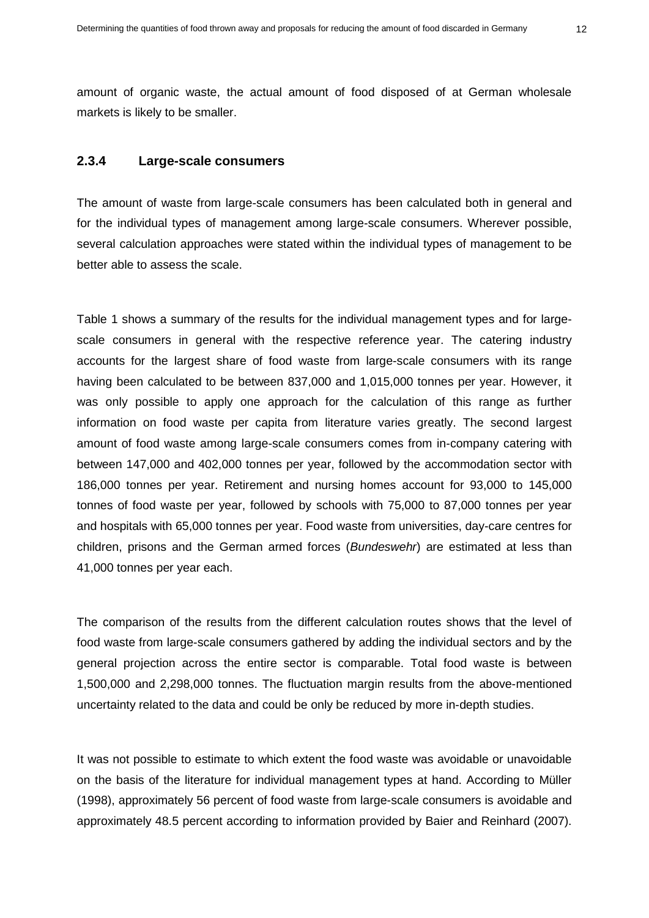amount of organic waste, the actual amount of food disposed of at German wholesale markets is likely to be smaller.

#### **2.3.4 Large-scale consumers**

The amount of waste from large-scale consumers has been calculated both in general and for the individual types of management among large-scale consumers. Wherever possible, several calculation approaches were stated within the individual types of management to be better able to assess the scale.

[Table 1](#page-14-0) shows a summary of the results for the individual management types and for largescale consumers in general with the respective reference year. The catering industry accounts for the largest share of food waste from large-scale consumers with its range having been calculated to be between 837,000 and 1,015,000 tonnes per year. However, it was only possible to apply one approach for the calculation of this range as further information on food waste per capita from literature varies greatly. The second largest amount of food waste among large-scale consumers comes from in-company catering with between 147,000 and 402,000 tonnes per year, followed by the accommodation sector with 186,000 tonnes per year. Retirement and nursing homes account for 93,000 to 145,000 tonnes of food waste per year, followed by schools with 75,000 to 87,000 tonnes per year and hospitals with 65,000 tonnes per year. Food waste from universities, day-care centres for children, prisons and the German armed forces (*Bundeswehr*) are estimated at less than 41,000 tonnes per year each.

The comparison of the results from the different calculation routes shows that the level of food waste from large-scale consumers gathered by adding the individual sectors and by the general projection across the entire sector is comparable. Total food waste is between 1,500,000 and 2,298,000 tonnes. The fluctuation margin results from the above-mentioned uncertainty related to the data and could be only be reduced by more in-depth studies.

It was not possible to estimate to which extent the food waste was avoidable or unavoidable on the basis of the literature for individual management types at hand. According to Müller (1998), approximately 56 percent of food waste from large-scale consumers is avoidable and approximately 48.5 percent according to information provided by Baier and Reinhard (2007).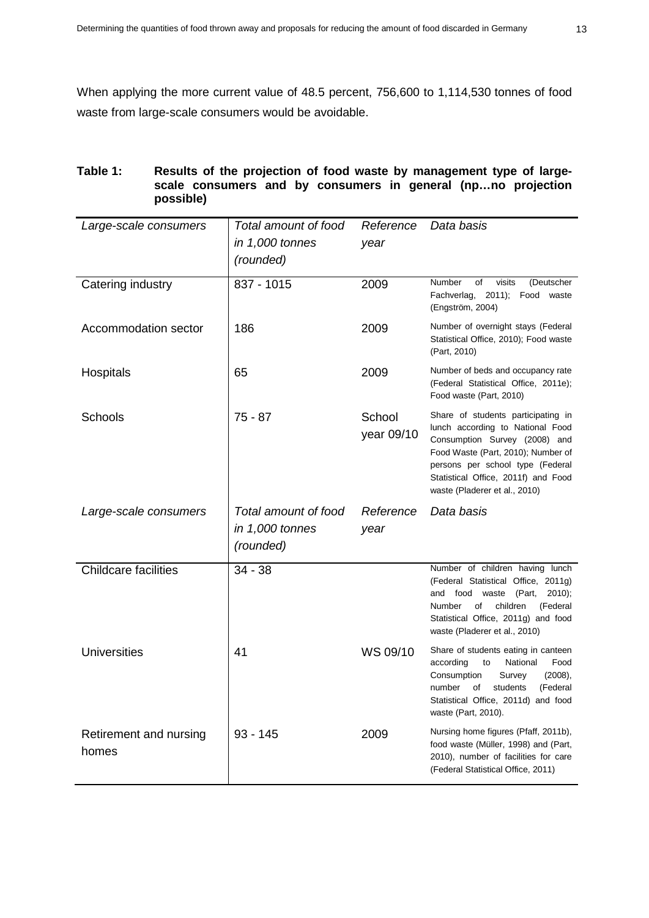When applying the more current value of 48.5 percent, 756,600 to 1,114,530 tonnes of food waste from large-scale consumers would be avoidable.

#### <span id="page-14-0"></span>**Table 1: Results of the projection of food waste by management type of largescale consumers and by consumers in general (np…no projection possible)**

| Large-scale consumers           | Total amount of food<br>Reference<br>in 1,000 tonnes<br>year |                      | Data basis                                                                                                                                                                                                                                                |
|---------------------------------|--------------------------------------------------------------|----------------------|-----------------------------------------------------------------------------------------------------------------------------------------------------------------------------------------------------------------------------------------------------------|
|                                 | (rounded)                                                    |                      |                                                                                                                                                                                                                                                           |
| Catering industry               | 837 - 1015                                                   | 2009                 | Number<br>of<br>visits<br>(Deutscher<br>Fachverlag, 2011); Food waste<br>(Engström, 2004)                                                                                                                                                                 |
| Accommodation sector            | 186                                                          | 2009                 | Number of overnight stays (Federal<br>Statistical Office, 2010); Food waste<br>(Part, 2010)                                                                                                                                                               |
| Hospitals                       | 65                                                           | 2009                 | Number of beds and occupancy rate<br>(Federal Statistical Office, 2011e);<br>Food waste (Part, 2010)                                                                                                                                                      |
| Schools                         | 75 - 87                                                      | School<br>year 09/10 | Share of students participating in<br>lunch according to National Food<br>Consumption Survey (2008) and<br>Food Waste (Part, 2010); Number of<br>persons per school type (Federal<br>Statistical Office, 2011f) and Food<br>waste (Pladerer et al., 2010) |
| Large-scale consumers           | Total amount of food                                         | Reference            | Data basis                                                                                                                                                                                                                                                |
|                                 | in 1,000 tonnes<br>(rounded)                                 | year                 |                                                                                                                                                                                                                                                           |
| <b>Childcare facilities</b>     | $34 - 38$                                                    |                      | Number of children having lunch<br>(Federal Statistical Office, 2011g)<br>and food waste<br>(Part,<br>$2010$ );<br>of<br>children<br>Number<br>(Federal<br>Statistical Office, 2011g) and food<br>waste (Pladerer et al., 2010)                           |
| <b>Universities</b>             | 41                                                           | WS 09/10             | Share of students eating in canteen<br>according<br>National<br>to<br>Food<br>Consumption<br>Survey<br>(2008),<br>number<br>students<br>οf<br>(Federal<br>Statistical Office, 2011d) and food<br>waste (Part, 2010).                                      |
| Retirement and nursing<br>homes | $93 - 145$                                                   | 2009                 | Nursing home figures (Pfaff, 2011b),<br>food waste (Müller, 1998) and (Part,<br>2010), number of facilities for care<br>(Federal Statistical Office, 2011)                                                                                                |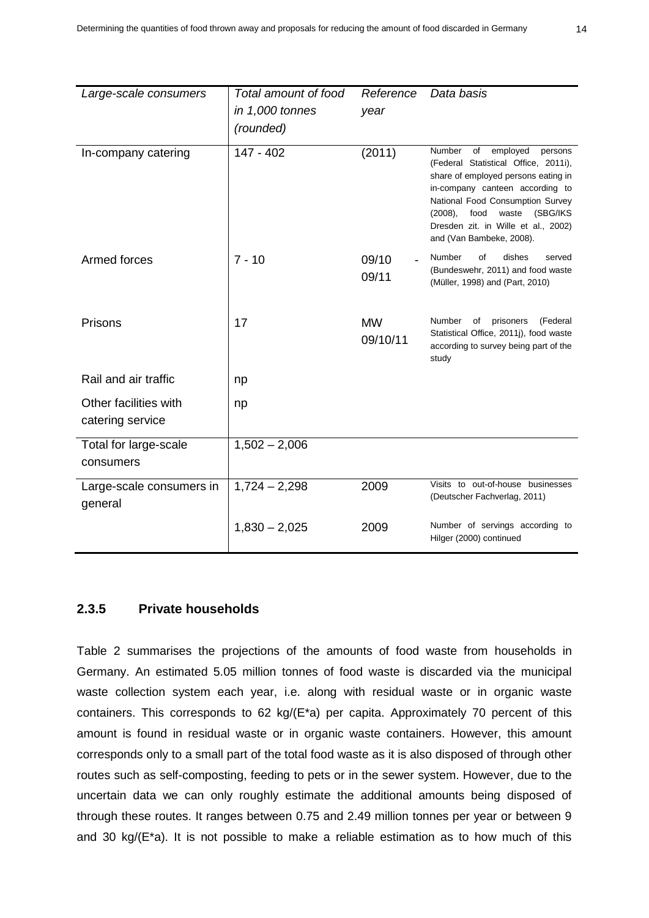| Large-scale consumers                     | Total amount of food | Reference             | Data basis                                                                                                                                                                                                                                                                                              |  |  |  |
|-------------------------------------------|----------------------|-----------------------|---------------------------------------------------------------------------------------------------------------------------------------------------------------------------------------------------------------------------------------------------------------------------------------------------------|--|--|--|
|                                           | in 1,000 tonnes      | year                  |                                                                                                                                                                                                                                                                                                         |  |  |  |
|                                           | (rounded)            |                       |                                                                                                                                                                                                                                                                                                         |  |  |  |
| In-company catering                       | 147 - 402            | (2011)                | Number<br>of<br>employed<br>persons<br>(Federal Statistical Office, 2011i),<br>share of employed persons eating in<br>in-company canteen according to<br>National Food Consumption Survey<br>$(2008)$ ,<br>food<br>waste<br>(SBG/IKS<br>Dresden zit. in Wille et al., 2002)<br>and (Van Bambeke, 2008). |  |  |  |
| Armed forces                              | $7 - 10$             | 09/10<br>09/11        | of<br>dishes<br>Number<br>served<br>(Bundeswehr, 2011) and food waste<br>(Müller, 1998) and (Part, 2010)                                                                                                                                                                                                |  |  |  |
| Prisons                                   | 17                   | <b>MW</b><br>09/10/11 | <b>Number</b><br>prisoners<br>(Federal<br>of<br>Statistical Office, 2011j), food waste<br>according to survey being part of the<br>study                                                                                                                                                                |  |  |  |
| Rail and air traffic                      | np                   |                       |                                                                                                                                                                                                                                                                                                         |  |  |  |
| Other facilities with<br>catering service | np                   |                       |                                                                                                                                                                                                                                                                                                         |  |  |  |
| Total for large-scale<br>consumers        | $1,502 - 2,006$      |                       |                                                                                                                                                                                                                                                                                                         |  |  |  |
| Large-scale consumers in<br>general       | $1,724 - 2,298$      | 2009                  | Visits to out-of-house businesses<br>(Deutscher Fachverlag, 2011)                                                                                                                                                                                                                                       |  |  |  |
|                                           | $1,830 - 2,025$      | 2009                  | Number of servings according to<br>Hilger (2000) continued                                                                                                                                                                                                                                              |  |  |  |

## **2.3.5 Private households**

[Table 2](#page-16-0) summarises the projections of the amounts of food waste from households in Germany. An estimated 5.05 million tonnes of food waste is discarded via the municipal waste collection system each year, i.e. along with residual waste or in organic waste containers. This corresponds to 62 kg/(E\*a) per capita. Approximately 70 percent of this amount is found in residual waste or in organic waste containers. However, this amount corresponds only to a small part of the total food waste as it is also disposed of through other routes such as self-composting, feeding to pets or in the sewer system. However, due to the uncertain data we can only roughly estimate the additional amounts being disposed of through these routes. It ranges between 0.75 and 2.49 million tonnes per year or between 9 and 30 kg/ $(E<sup>*</sup>a)$ . It is not possible to make a reliable estimation as to how much of this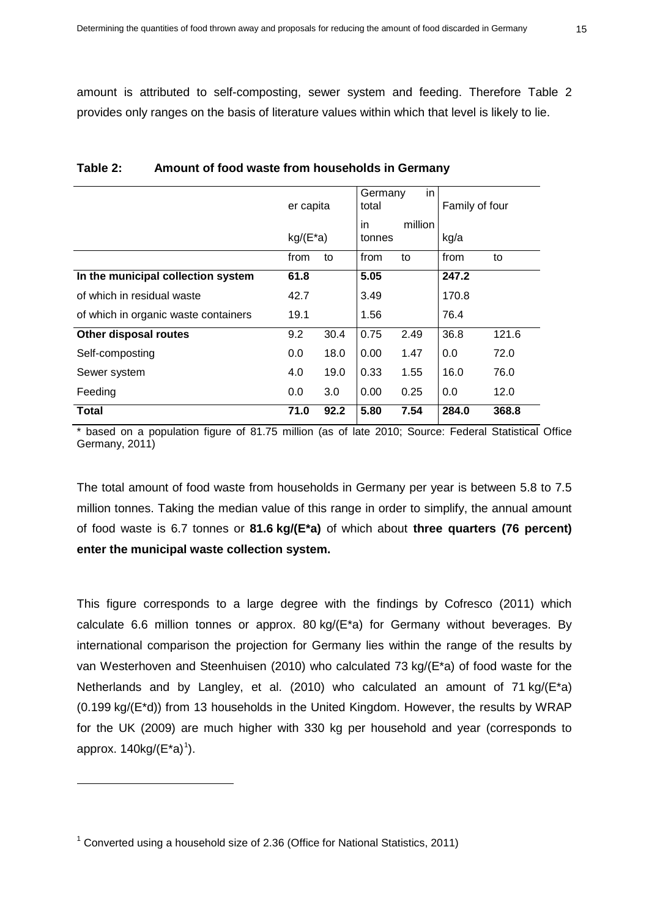amount is attributed to self-composting, sewer system and feeding. Therefore Table 2 provides only ranges on the basis of literature values within which that level is likely to lie.

|                                      | er capita   |      | Germany<br>total        | in   | Family of four |       |
|--------------------------------------|-------------|------|-------------------------|------|----------------|-------|
|                                      | $kg/(E^*a)$ |      | million<br>in<br>tonnes |      | kg/a           |       |
|                                      | from        | to   | from                    | to   | from           | to    |
| In the municipal collection system   | 61.8        |      | 5.05                    |      | 247.2          |       |
| of which in residual waste           | 42.7        |      | 3.49                    |      | 170.8          |       |
| of which in organic waste containers | 19.1        |      | 1.56                    |      | 76.4           |       |
| Other disposal routes                | 9.2         | 30.4 | 0.75                    | 2.49 | 36.8           | 121.6 |
| Self-composting                      | 0.0         | 18.0 | 0.00                    | 1.47 | 0.0            | 72.0  |
| Sewer system                         | 4.0         | 19.0 | 0.33                    | 1.55 | 16.0           | 76.0  |
| Feeding                              | 0.0         | 3.0  | 0.00                    | 0.25 | 0.0            | 12.0  |
| <b>Total</b>                         | 71.0        | 92.2 | 5.80                    | 7.54 | 284.0          | 368.8 |

#### <span id="page-16-0"></span>**Table 2: Amount of food waste from households in Germany**

\* based on a population figure of 81.75 million (as of late 2010; Source: Federal Statistical Office Germany, 2011)

The total amount of food waste from households in Germany per year is between 5.8 to 7.5 million tonnes. Taking the median value of this range in order to simplify, the annual amount of food waste is 6.7 tonnes or **81.6 kg/(E\*a)** of which about **three quarters (76 percent) enter the municipal waste collection system.**

This figure corresponds to a large degree with the findings by Cofresco (2011) which calculate 6.6 million tonnes or approx. 80 kg/ $(E^*a)$  for Germany without beverages. By international comparison the projection for Germany lies within the range of the results by van Westerhoven and Steenhuisen (2010) who calculated 73 kg/(E\*a) of food waste for the Netherlands and by Langley, et al. (2010) who calculated an amount of 71 kg/(E\*a) (0.199 kg/(E\*d)) from 13 households in the United Kingdom. However, the results by WRAP for the UK (2009) are much higher with 330 kg per household and year (corresponds to approx.  $140$  $140$ kg/(E\*a)<sup>1</sup>).

 $\overline{a}$ 

<span id="page-16-1"></span> $1$  Converted using a household size of 2.36 (Office for National Statistics, 2011)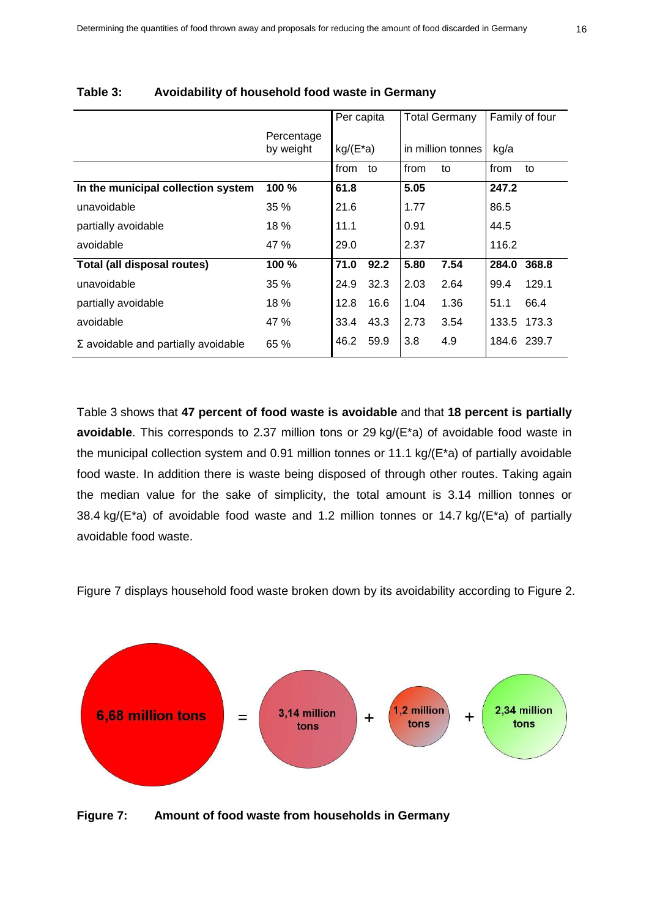|                                            |                         | Per capita  |      | <b>Total Germany</b> |      |       | Family of four |
|--------------------------------------------|-------------------------|-------------|------|----------------------|------|-------|----------------|
|                                            | Percentage<br>by weight | $kg/(E^*a)$ |      | in million tonnes    |      | kg/a  |                |
|                                            |                         | from        | to   | from                 | to   | from  | to             |
| In the municipal collection system         | 100 %                   | 61.8        |      | 5.05                 |      | 247.2 |                |
| unavoidable                                | 35%                     | 21.6        |      | 1.77                 |      | 86.5  |                |
| partially avoidable                        | 18%                     | 11.1        |      | 0.91                 |      | 44.5  |                |
| avoidable                                  | 47 %                    | 29.0        |      | 2.37                 |      | 116.2 |                |
| Total (all disposal routes)                | 100 %                   | 71.0        | 92.2 | 5.80                 | 7.54 | 284.0 | 368.8          |
| unavoidable                                | 35 %                    | 24.9        | 32.3 | 2.03                 | 2.64 | 99.4  | 129.1          |
| partially avoidable                        | 18%                     | 12.8        | 16.6 | 1.04                 | 1.36 | 51.1  | 66.4           |
| avoidable                                  | 47 %                    | 33.4        | 43.3 | 2.73                 | 3.54 | 133.5 | 173.3          |
| $\Sigma$ avoidable and partially avoidable | 65 %                    | 46.2        | 59.9 | 3.8                  | 4.9  |       | 184.6 239.7    |

#### **Table 3: Avoidability of household food waste in Germany**

Table 3 shows that **47 percent of food waste is avoidable** and that **18 percent is partially avoidable**. This corresponds to 2.37 million tons or 29 kg/(E\*a) of avoidable food waste in the municipal collection system and 0.91 million tonnes or 11.1 kg/(E\*a) of partially avoidable food waste. In addition there is waste being disposed of through other routes. Taking again the median value for the sake of simplicity, the total amount is 3.14 million tonnes or 38.4 kg/( $E^*$ a) of avoidable food waste and 1.2 million tonnes or 14.7 kg/( $E^*$ a) of partially avoidable food waste.

Figure 7 displays household food waste broken down by its avoidability according to Figure 2.



**Figure 7: Amount of food waste from households in Germany**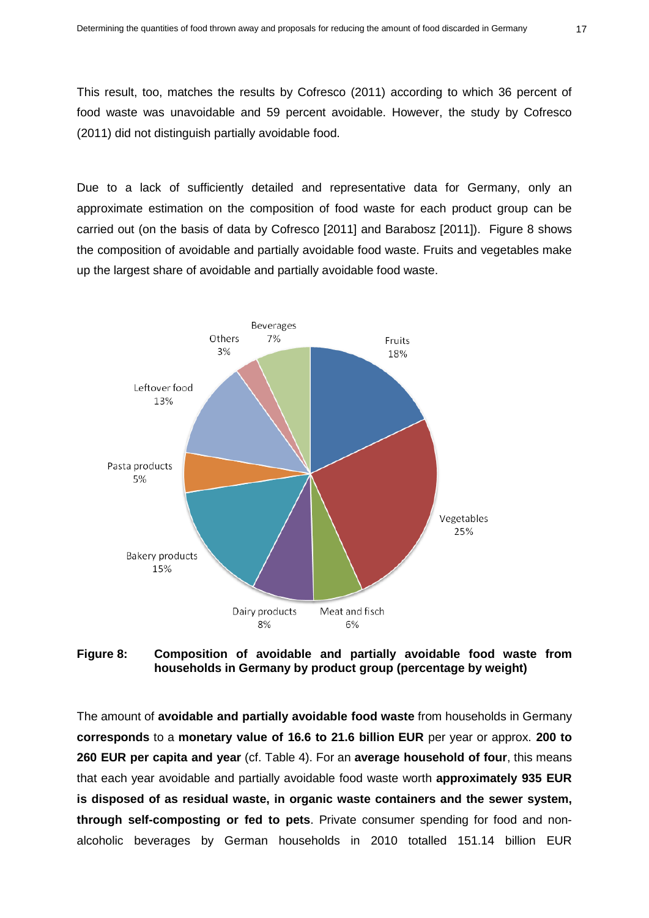This result, too, matches the results by Cofresco (2011) according to which 36 percent of food waste was unavoidable and 59 percent avoidable. However, the study by Cofresco (2011) did not distinguish partially avoidable food.

Due to a lack of sufficiently detailed and representative data for Germany, only an approximate estimation on the composition of food waste for each product group can be carried out (on the basis of data by Cofresco [2011] and Barabosz [2011]). Figure 8 shows the composition of avoidable and partially avoidable food waste. Fruits and vegetables make up the largest share of avoidable and partially avoidable food waste.



**Figure 8: Composition of avoidable and partially avoidable food waste from households in Germany by product group (percentage by weight)**

The amount of **avoidable and partially avoidable food waste** from households in Germany **corresponds** to a **monetary value of 16.6 to 21.6 billion EUR** per year or approx. **200 to 260 EUR per capita and year** (cf. Table 4). For an **average household of four**, this means that each year avoidable and partially avoidable food waste worth **approximately 935 EUR is disposed of as residual waste, in organic waste containers and the sewer system, through self-composting or fed to pets**. Private consumer spending for food and nonalcoholic beverages by German households in 2010 totalled 151.14 billion EUR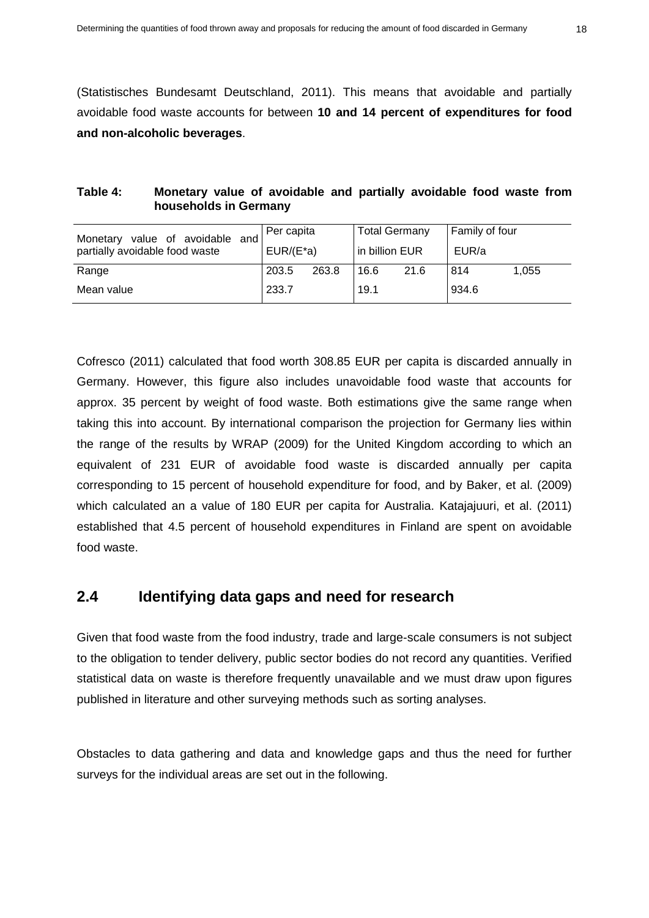(Statistisches Bundesamt Deutschland, 2011). This means that avoidable and partially avoidable food waste accounts for between **10 and 14 percent of expenditures for food and non-alcoholic beverages**.

| Table 4: |                       |  |  | Monetary value of avoidable and partially avoidable food waste from |  |  |
|----------|-----------------------|--|--|---------------------------------------------------------------------|--|--|
|          | households in Germany |  |  |                                                                     |  |  |

| Monetary value of avoidable and | Per capita   |       | <b>Total Germany</b> |      | Family of four |       |
|---------------------------------|--------------|-------|----------------------|------|----------------|-------|
| partially avoidable food waste  | $EUR/(E^*a)$ |       | in billion EUR       |      | EUR/a          |       |
| Range                           | 203.5        | 263.8 | 16.6                 | 21.6 | 814            | 1.055 |
| Mean value                      | 233.7        |       | 19.1                 |      | 934.6          |       |

Cofresco (2011) calculated that food worth 308.85 EUR per capita is discarded annually in Germany. However, this figure also includes unavoidable food waste that accounts for approx. 35 percent by weight of food waste. Both estimations give the same range when taking this into account. By international comparison the projection for Germany lies within the range of the results by WRAP (2009) for the United Kingdom according to which an equivalent of 231 EUR of avoidable food waste is discarded annually per capita corresponding to 15 percent of household expenditure for food, and by Baker, et al. (2009) which calculated an a value of 180 EUR per capita for Australia. Katajajuuri, et al. (2011) established that 4.5 percent of household expenditures in Finland are spent on avoidable food waste.

## <span id="page-19-0"></span>**2.4 Identifying data gaps and need for research**

Given that food waste from the food industry, trade and large-scale consumers is not subject to the obligation to tender delivery, public sector bodies do not record any quantities. Verified statistical data on waste is therefore frequently unavailable and we must draw upon figures published in literature and other surveying methods such as sorting analyses.

Obstacles to data gathering and data and knowledge gaps and thus the need for further surveys for the individual areas are set out in the following.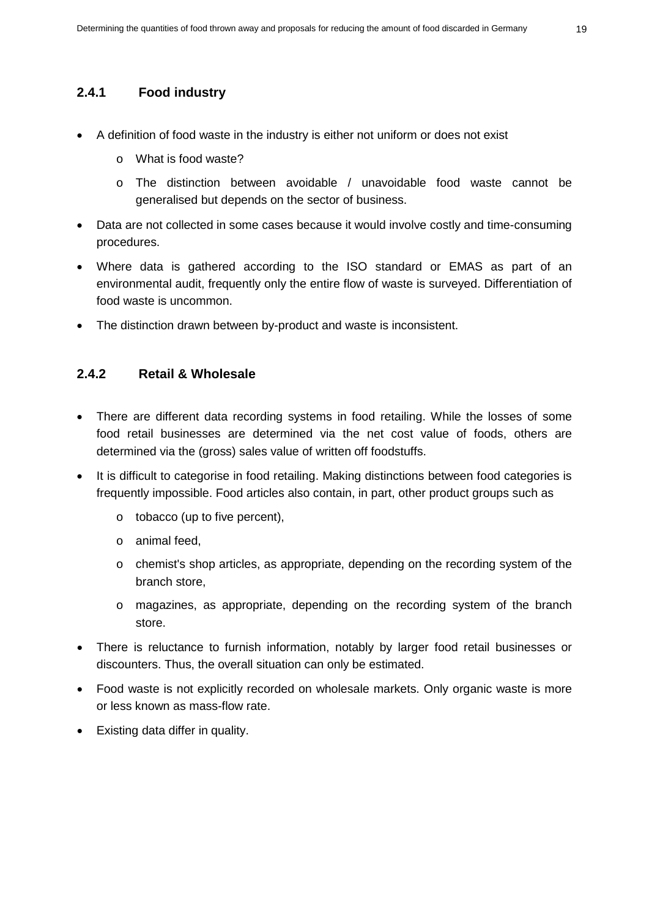## **2.4.1 Food industry**

- A definition of food waste in the industry is either not uniform or does not exist
	- o What is food waste?
	- o The distinction between avoidable / unavoidable food waste cannot be generalised but depends on the sector of business.
- Data are not collected in some cases because it would involve costly and time-consuming procedures.
- Where data is gathered according to the ISO standard or EMAS as part of an environmental audit, frequently only the entire flow of waste is surveyed. Differentiation of food waste is uncommon.
- The distinction drawn between by-product and waste is inconsistent.

### **2.4.2 Retail & Wholesale**

- There are different data recording systems in food retailing. While the losses of some food retail businesses are determined via the net cost value of foods, others are determined via the (gross) sales value of written off foodstuffs.
- It is difficult to categorise in food retailing. Making distinctions between food categories is frequently impossible. Food articles also contain, in part, other product groups such as
	- o tobacco (up to five percent),
	- o animal feed,
	- o chemist's shop articles, as appropriate, depending on the recording system of the branch store,
	- o magazines, as appropriate, depending on the recording system of the branch store.
- There is reluctance to furnish information, notably by larger food retail businesses or discounters. Thus, the overall situation can only be estimated.
- Food waste is not explicitly recorded on wholesale markets. Only organic waste is more or less known as mass-flow rate.
- Existing data differ in quality.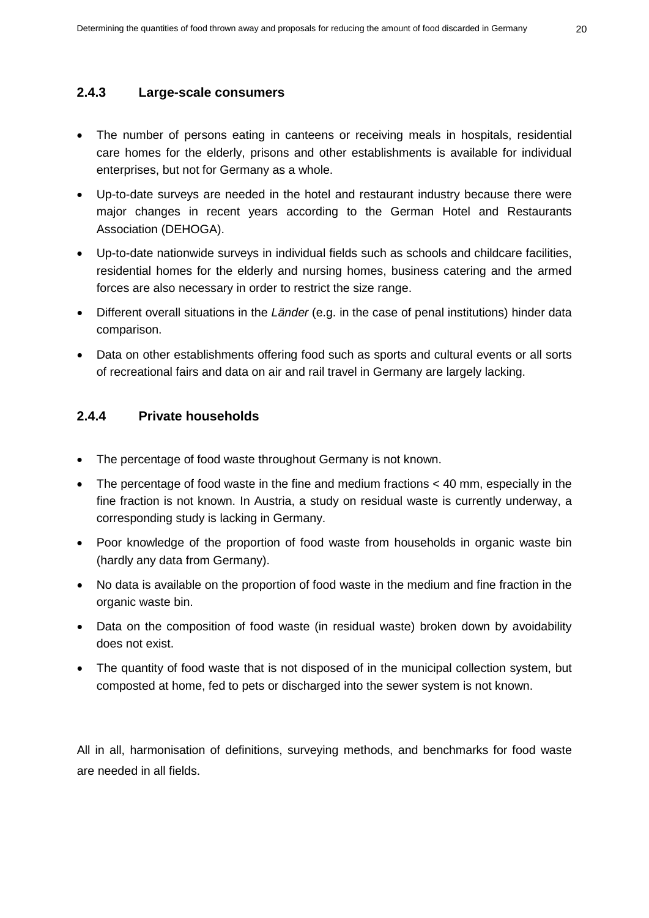#### **2.4.3 Large-scale consumers**

- The number of persons eating in canteens or receiving meals in hospitals, residential care homes for the elderly, prisons and other establishments is available for individual enterprises, but not for Germany as a whole.
- Up-to-date surveys are needed in the hotel and restaurant industry because there were major changes in recent years according to the German Hotel and Restaurants Association (DEHOGA).
- Up-to-date nationwide surveys in individual fields such as schools and childcare facilities, residential homes for the elderly and nursing homes, business catering and the armed forces are also necessary in order to restrict the size range.
- Different overall situations in the *Länder* (e.g. in the case of penal institutions) hinder data comparison.
- Data on other establishments offering food such as sports and cultural events or all sorts of recreational fairs and data on air and rail travel in Germany are largely lacking.

#### **2.4.4 Private households**

- The percentage of food waste throughout Germany is not known.
- The percentage of food waste in the fine and medium fractions < 40 mm, especially in the fine fraction is not known. In Austria, a study on residual waste is currently underway, a corresponding study is lacking in Germany.
- Poor knowledge of the proportion of food waste from households in organic waste bin (hardly any data from Germany).
- No data is available on the proportion of food waste in the medium and fine fraction in the organic waste bin.
- Data on the composition of food waste (in residual waste) broken down by avoidability does not exist.
- The quantity of food waste that is not disposed of in the municipal collection system, but composted at home, fed to pets or discharged into the sewer system is not known.

All in all, harmonisation of definitions, surveying methods, and benchmarks for food waste are needed in all fields.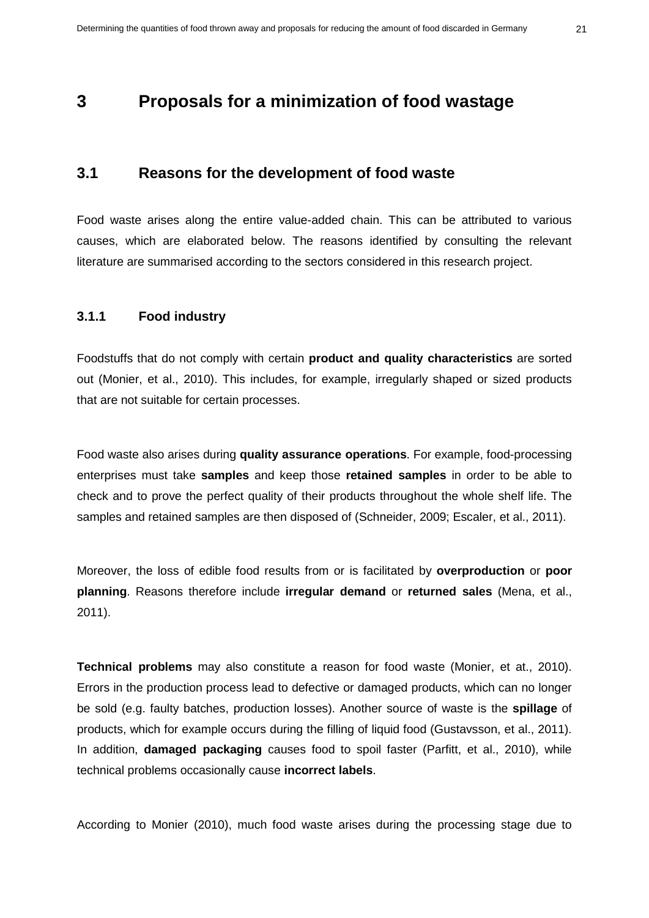## <span id="page-22-0"></span>**3 Proposals for a minimization of food wastage**

### <span id="page-22-1"></span>**3.1 Reasons for the development of food waste**

Food waste arises along the entire value-added chain. This can be attributed to various causes, which are elaborated below. The reasons identified by consulting the relevant literature are summarised according to the sectors considered in this research project.

### **3.1.1 Food industry**

Foodstuffs that do not comply with certain **product and quality characteristics** are sorted out (Monier, et al., 2010). This includes, for example, irregularly shaped or sized products that are not suitable for certain processes.

Food waste also arises during **quality assurance operations**. For example, food-processing enterprises must take **samples** and keep those **retained samples** in order to be able to check and to prove the perfect quality of their products throughout the whole shelf life. The samples and retained samples are then disposed of (Schneider, 2009; Escaler, et al., 2011).

Moreover, the loss of edible food results from or is facilitated by **overproduction** or **poor planning**. Reasons therefore include **irregular demand** or **returned sales** (Mena, et al., 2011).

**Technical problems** may also constitute a reason for food waste (Monier, et at., 2010). Errors in the production process lead to defective or damaged products, which can no longer be sold (e.g. faulty batches, production losses). Another source of waste is the **spillage** of products, which for example occurs during the filling of liquid food (Gustavsson, et al., 2011). In addition, **damaged packaging** causes food to spoil faster (Parfitt, et al., 2010), while technical problems occasionally cause **incorrect labels**.

According to Monier (2010), much food waste arises during the processing stage due to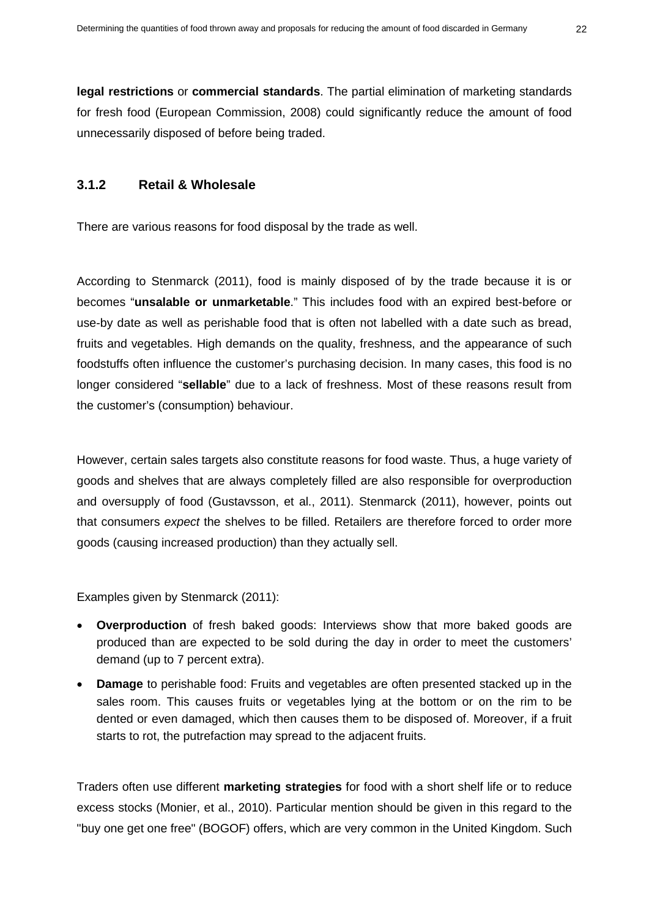**legal restrictions** or **commercial standards**. The partial elimination of marketing standards for fresh food (European Commission, 2008) could significantly reduce the amount of food unnecessarily disposed of before being traded.

## **3.1.2 Retail & Wholesale**

There are various reasons for food disposal by the trade as well.

According to Stenmarck (2011), food is mainly disposed of by the trade because it is or becomes "**unsalable or unmarketable**." This includes food with an expired best-before or use-by date as well as perishable food that is often not labelled with a date such as bread, fruits and vegetables. High demands on the quality, freshness, and the appearance of such foodstuffs often influence the customer's purchasing decision. In many cases, this food is no longer considered "**sellable**" due to a lack of freshness. Most of these reasons result from the customer's (consumption) behaviour.

However, certain sales targets also constitute reasons for food waste. Thus, a huge variety of goods and shelves that are always completely filled are also responsible for overproduction and oversupply of food (Gustavsson, et al., 2011). Stenmarck (2011), however, points out that consumers *expect* the shelves to be filled. Retailers are therefore forced to order more goods (causing increased production) than they actually sell.

Examples given by Stenmarck (2011):

- **Overproduction** of fresh baked goods: Interviews show that more baked goods are produced than are expected to be sold during the day in order to meet the customers' demand (up to 7 percent extra).
- **Damage** to perishable food: Fruits and vegetables are often presented stacked up in the sales room. This causes fruits or vegetables lying at the bottom or on the rim to be dented or even damaged, which then causes them to be disposed of. Moreover, if a fruit starts to rot, the putrefaction may spread to the adjacent fruits.

Traders often use different **marketing strategies** for food with a short shelf life or to reduce excess stocks (Monier, et al., 2010). Particular mention should be given in this regard to the "buy one get one free" (BOGOF) offers, which are very common in the United Kingdom. Such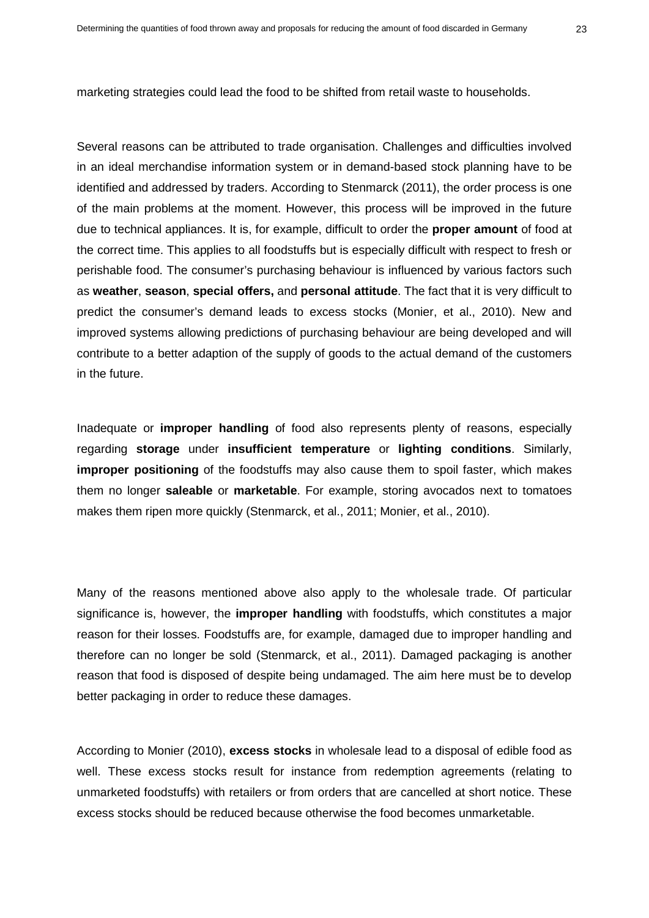marketing strategies could lead the food to be shifted from retail waste to households.

Several reasons can be attributed to trade organisation. Challenges and difficulties involved in an ideal merchandise information system or in demand-based stock planning have to be identified and addressed by traders. According to Stenmarck (2011), the order process is one of the main problems at the moment. However, this process will be improved in the future due to technical appliances. It is, for example, difficult to order the **proper amount** of food at the correct time. This applies to all foodstuffs but is especially difficult with respect to fresh or perishable food. The consumer's purchasing behaviour is influenced by various factors such as **weather**, **season**, **special offers,** and **personal attitude**. The fact that it is very difficult to predict the consumer's demand leads to excess stocks (Monier, et al., 2010). New and improved systems allowing predictions of purchasing behaviour are being developed and will contribute to a better adaption of the supply of goods to the actual demand of the customers in the future.

Inadequate or **improper handling** of food also represents plenty of reasons, especially regarding **storage** under **insufficient temperature** or **lighting conditions**. Similarly, **improper positioning** of the foodstuffs may also cause them to spoil faster, which makes them no longer **saleable** or **marketable**. For example, storing avocados next to tomatoes makes them ripen more quickly (Stenmarck, et al., 2011; Monier, et al., 2010).

Many of the reasons mentioned above also apply to the wholesale trade. Of particular significance is, however, the **improper handling** with foodstuffs, which constitutes a major reason for their losses. Foodstuffs are, for example, damaged due to improper handling and therefore can no longer be sold (Stenmarck, et al., 2011). Damaged packaging is another reason that food is disposed of despite being undamaged. The aim here must be to develop better packaging in order to reduce these damages.

According to Monier (2010), **excess stocks** in wholesale lead to a disposal of edible food as well. These excess stocks result for instance from redemption agreements (relating to unmarketed foodstuffs) with retailers or from orders that are cancelled at short notice. These excess stocks should be reduced because otherwise the food becomes unmarketable.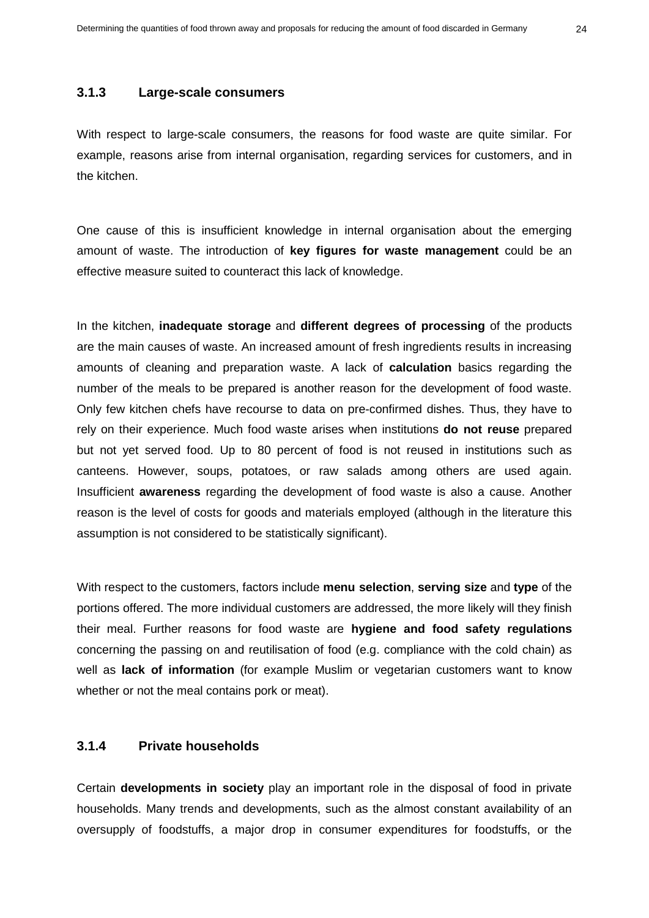#### **3.1.3 Large-scale consumers**

With respect to large-scale consumers, the reasons for food waste are quite similar. For example, reasons arise from internal organisation, regarding services for customers, and in the kitchen.

One cause of this is insufficient knowledge in internal organisation about the emerging amount of waste. The introduction of **key figures for waste management** could be an effective measure suited to counteract this lack of knowledge.

In the kitchen, **inadequate storage** and **different degrees of processing** of the products are the main causes of waste. An increased amount of fresh ingredients results in increasing amounts of cleaning and preparation waste. A lack of **calculation** basics regarding the number of the meals to be prepared is another reason for the development of food waste. Only few kitchen chefs have recourse to data on pre-confirmed dishes. Thus, they have to rely on their experience. Much food waste arises when institutions **do not reuse** prepared but not yet served food. Up to 80 percent of food is not reused in institutions such as canteens. However, soups, potatoes, or raw salads among others are used again. Insufficient **awareness** regarding the development of food waste is also a cause. Another reason is the level of costs for goods and materials employed (although in the literature this assumption is not considered to be statistically significant).

With respect to the customers, factors include **menu selection**, **serving size** and **type** of the portions offered. The more individual customers are addressed, the more likely will they finish their meal. Further reasons for food waste are **hygiene and food safety regulations** concerning the passing on and reutilisation of food (e.g. compliance with the cold chain) as well as **lack of information** (for example Muslim or vegetarian customers want to know whether or not the meal contains pork or meat).

## **3.1.4 Private households**

Certain **developments in society** play an important role in the disposal of food in private households. Many trends and developments, such as the almost constant availability of an oversupply of foodstuffs, a major drop in consumer expenditures for foodstuffs, or the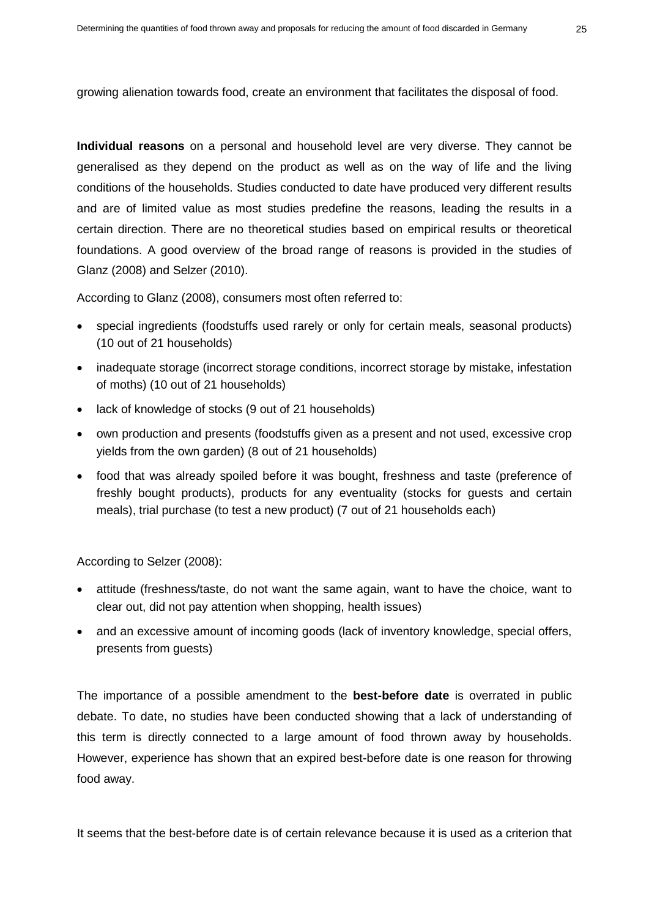growing alienation towards food, create an environment that facilitates the disposal of food.

**Individual reasons** on a personal and household level are very diverse. They cannot be generalised as they depend on the product as well as on the way of life and the living conditions of the households. Studies conducted to date have produced very different results and are of limited value as most studies predefine the reasons, leading the results in a certain direction. There are no theoretical studies based on empirical results or theoretical foundations. A good overview of the broad range of reasons is provided in the studies of Glanz (2008) and Selzer (2010).

According to Glanz (2008), consumers most often referred to:

- special ingredients (foodstuffs used rarely or only for certain meals, seasonal products) (10 out of 21 households)
- inadequate storage (incorrect storage conditions, incorrect storage by mistake, infestation of moths) (10 out of 21 households)
- lack of knowledge of stocks (9 out of 21 households)
- own production and presents (foodstuffs given as a present and not used, excessive crop yields from the own garden) (8 out of 21 households)
- food that was already spoiled before it was bought, freshness and taste (preference of freshly bought products), products for any eventuality (stocks for guests and certain meals), trial purchase (to test a new product) (7 out of 21 households each)

According to Selzer (2008):

- attitude (freshness/taste, do not want the same again, want to have the choice, want to clear out, did not pay attention when shopping, health issues)
- and an excessive amount of incoming goods (lack of inventory knowledge, special offers, presents from guests)

The importance of a possible amendment to the **best-before date** is overrated in public debate. To date, no studies have been conducted showing that a lack of understanding of this term is directly connected to a large amount of food thrown away by households. However, experience has shown that an expired best-before date is one reason for throwing food away.

It seems that the best-before date is of certain relevance because it is used as a criterion that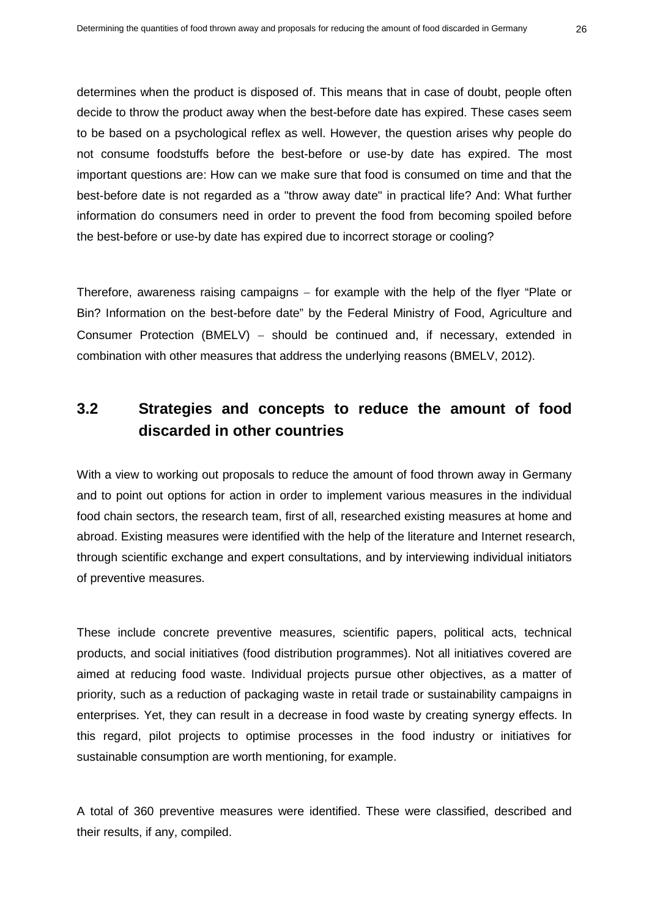determines when the product is disposed of. This means that in case of doubt, people often decide to throw the product away when the best-before date has expired. These cases seem to be based on a psychological reflex as well. However, the question arises why people do not consume foodstuffs before the best-before or use-by date has expired. The most important questions are: How can we make sure that food is consumed on time and that the best-before date is not regarded as a "throw away date" in practical life? And: What further information do consumers need in order to prevent the food from becoming spoiled before the best-before or use-by date has expired due to incorrect storage or cooling?

Therefore, awareness raising campaigns − for example with the help of the flyer "Plate or Bin? Information on the best-before date" by the Federal Ministry of Food, Agriculture and Consumer Protection (BMELV) – should be continued and, if necessary, extended in combination with other measures that address the underlying reasons (BMELV, 2012).

# <span id="page-27-0"></span>**3.2 Strategies and concepts to reduce the amount of food discarded in other countries**

With a view to working out proposals to reduce the amount of food thrown away in Germany and to point out options for action in order to implement various measures in the individual food chain sectors, the research team, first of all, researched existing measures at home and abroad. Existing measures were identified with the help of the literature and Internet research, through scientific exchange and expert consultations, and by interviewing individual initiators of preventive measures.

These include concrete preventive measures, scientific papers, political acts, technical products, and social initiatives (food distribution programmes). Not all initiatives covered are aimed at reducing food waste. Individual projects pursue other objectives, as a matter of priority, such as a reduction of packaging waste in retail trade or sustainability campaigns in enterprises. Yet, they can result in a decrease in food waste by creating synergy effects. In this regard, pilot projects to optimise processes in the food industry or initiatives for sustainable consumption are worth mentioning, for example.

A total of 360 preventive measures were identified. These were classified, described and their results, if any, compiled.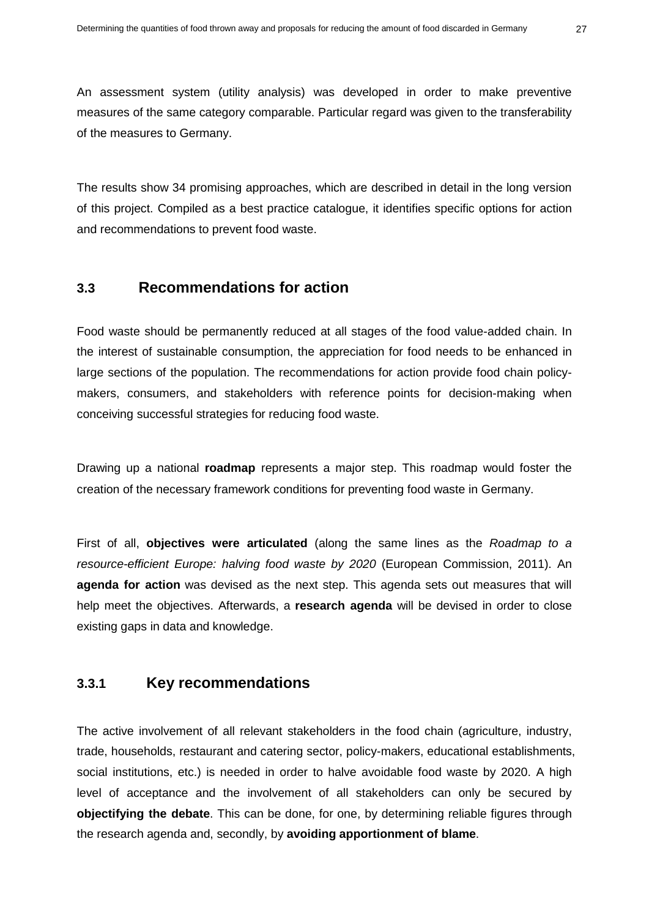An assessment system (utility analysis) was developed in order to make preventive measures of the same category comparable. Particular regard was given to the transferability of the measures to Germany.

The results show 34 promising approaches, which are described in detail in the long version of this project. Compiled as a best practice catalogue, it identifies specific options for action and recommendations to prevent food waste.

## <span id="page-28-0"></span>**3.3 Recommendations for action**

Food waste should be permanently reduced at all stages of the food value-added chain. In the interest of sustainable consumption, the appreciation for food needs to be enhanced in large sections of the population. The recommendations for action provide food chain policymakers, consumers, and stakeholders with reference points for decision-making when conceiving successful strategies for reducing food waste.

Drawing up a national **roadmap** represents a major step. This roadmap would foster the creation of the necessary framework conditions for preventing food waste in Germany.

First of all, **objectives were articulated** (along the same lines as the *Roadmap to a resource-efficient Europe: halving food waste by 2020* (European Commission, 2011). An **agenda for action** was devised as the next step. This agenda sets out measures that will help meet the objectives. Afterwards, a **research agenda** will be devised in order to close existing gaps in data and knowledge.

## **3.3.1 Key recommendations**

The active involvement of all relevant stakeholders in the food chain (agriculture, industry, trade, households, restaurant and catering sector, policy-makers, educational establishments, social institutions, etc.) is needed in order to halve avoidable food waste by 2020. A high level of acceptance and the involvement of all stakeholders can only be secured by **objectifying the debate**. This can be done, for one, by determining reliable figures through the research agenda and, secondly, by **avoiding apportionment of blame**.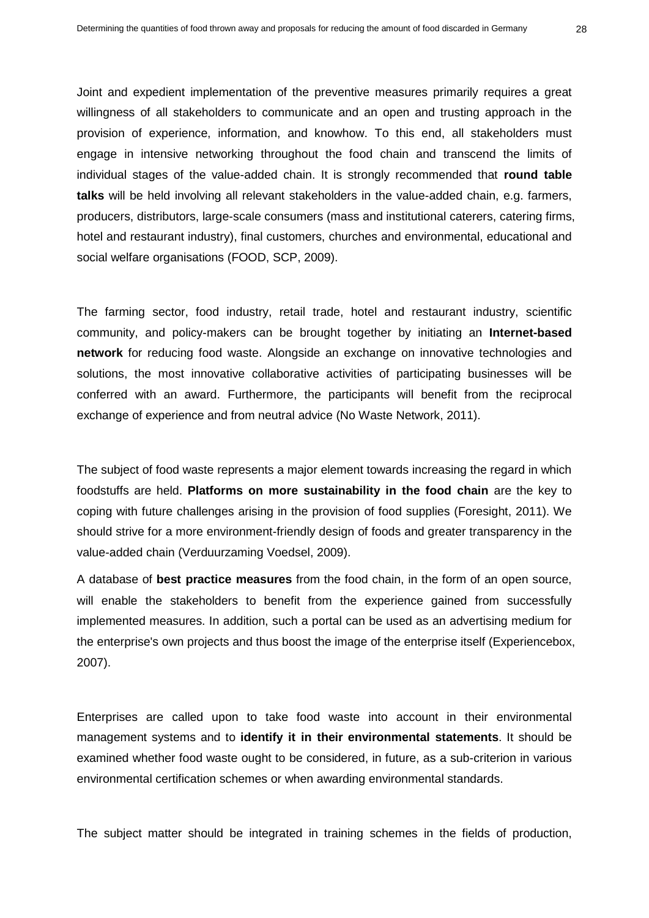Joint and expedient implementation of the preventive measures primarily requires a great willingness of all stakeholders to communicate and an open and trusting approach in the provision of experience, information, and knowhow. To this end, all stakeholders must engage in intensive networking throughout the food chain and transcend the limits of individual stages of the value-added chain. It is strongly recommended that **round table talks** will be held involving all relevant stakeholders in the value-added chain, e.g. farmers, producers, distributors, large-scale consumers (mass and institutional caterers, catering firms, hotel and restaurant industry), final customers, churches and environmental, educational and social welfare organisations (FOOD, SCP, 2009).

The farming sector, food industry, retail trade, hotel and restaurant industry, scientific community, and policy-makers can be brought together by initiating an **Internet-based network** for reducing food waste. Alongside an exchange on innovative technologies and solutions, the most innovative collaborative activities of participating businesses will be conferred with an award. Furthermore, the participants will benefit from the reciprocal exchange of experience and from neutral advice (No Waste Network, 2011).

The subject of food waste represents a major element towards increasing the regard in which foodstuffs are held. **Platforms on more sustainability in the food chain** are the key to coping with future challenges arising in the provision of food supplies (Foresight, 2011). We should strive for a more environment-friendly design of foods and greater transparency in the value-added chain (Verduurzaming Voedsel, 2009).

A database of **best practice measures** from the food chain, in the form of an open source, will enable the stakeholders to benefit from the experience gained from successfully implemented measures. In addition, such a portal can be used as an advertising medium for the enterprise's own projects and thus boost the image of the enterprise itself (Experiencebox, 2007).

Enterprises are called upon to take food waste into account in their environmental management systems and to **identify it in their environmental statements**. It should be examined whether food waste ought to be considered, in future, as a sub-criterion in various environmental certification schemes or when awarding environmental standards.

The subject matter should be integrated in training schemes in the fields of production,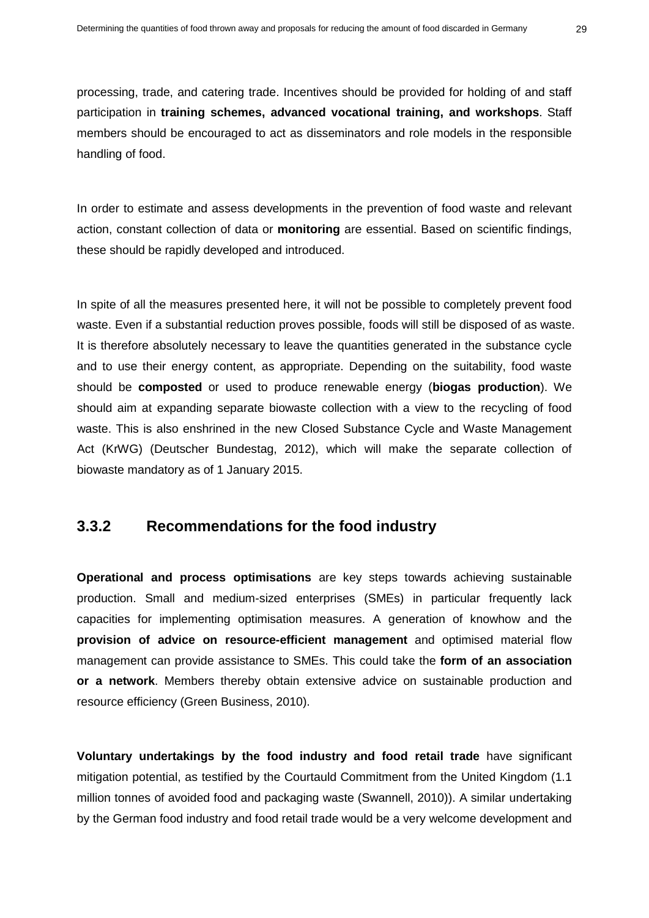processing, trade, and catering trade. Incentives should be provided for holding of and staff participation in **training schemes, advanced vocational training, and workshops**. Staff members should be encouraged to act as disseminators and role models in the responsible handling of food.

In order to estimate and assess developments in the prevention of food waste and relevant action, constant collection of data or **monitoring** are essential. Based on scientific findings, these should be rapidly developed and introduced.

In spite of all the measures presented here, it will not be possible to completely prevent food waste. Even if a substantial reduction proves possible, foods will still be disposed of as waste. It is therefore absolutely necessary to leave the quantities generated in the substance cycle and to use their energy content, as appropriate. Depending on the suitability, food waste should be **composted** or used to produce renewable energy (**biogas production**). We should aim at expanding separate biowaste collection with a view to the recycling of food waste. This is also enshrined in the new Closed Substance Cycle and Waste Management Act (KrWG) (Deutscher Bundestag, 2012), which will make the separate collection of biowaste mandatory as of 1 January 2015.

## **3.3.2 Recommendations for the food industry**

**Operational and process optimisations** are key steps towards achieving sustainable production. Small and medium-sized enterprises (SMEs) in particular frequently lack capacities for implementing optimisation measures. A generation of knowhow and the **provision of advice on resource-efficient management** and optimised material flow management can provide assistance to SMEs. This could take the **form of an association or a network**. Members thereby obtain extensive advice on sustainable production and resource efficiency (Green Business, 2010).

**Voluntary undertakings by the food industry and food retail trade** have significant mitigation potential, as testified by the Courtauld Commitment from the United Kingdom (1.1 million tonnes of avoided food and packaging waste (Swannell, 2010)). A similar undertaking by the German food industry and food retail trade would be a very welcome development and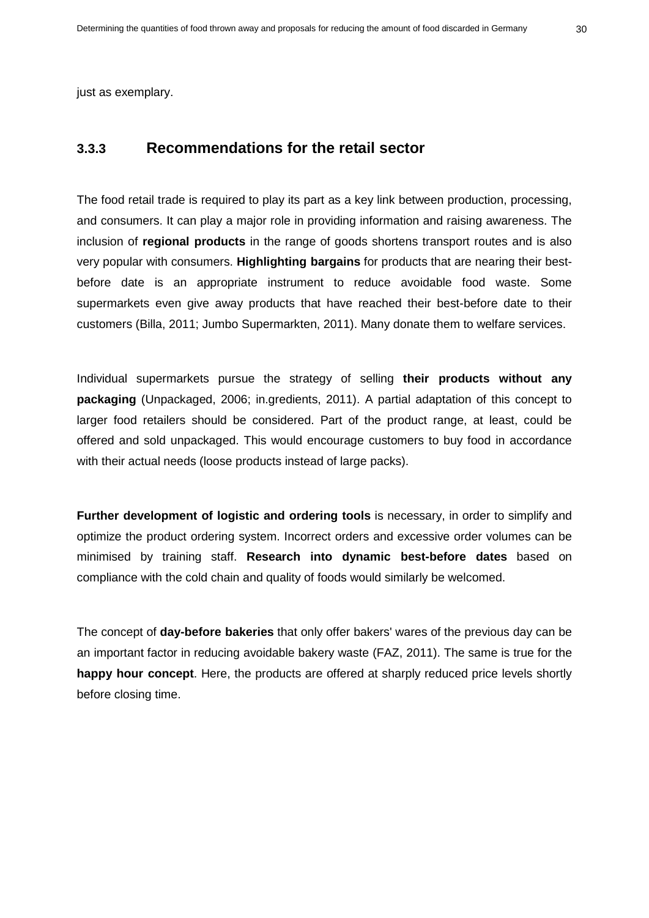just as exemplary.

## **3.3.3 Recommendations for the retail sector**

The food retail trade is required to play its part as a key link between production, processing, and consumers. It can play a major role in providing information and raising awareness. The inclusion of **regional products** in the range of goods shortens transport routes and is also very popular with consumers. **Highlighting bargains** for products that are nearing their bestbefore date is an appropriate instrument to reduce avoidable food waste. Some supermarkets even give away products that have reached their best-before date to their customers (Billa, 2011; Jumbo Supermarkten, 2011). Many donate them to welfare services.

Individual supermarkets pursue the strategy of selling **their products without any packaging** (Unpackaged, 2006; in.gredients, 2011). A partial adaptation of this concept to larger food retailers should be considered. Part of the product range, at least, could be offered and sold unpackaged. This would encourage customers to buy food in accordance with their actual needs (loose products instead of large packs).

**Further development of logistic and ordering tools** is necessary, in order to simplify and optimize the product ordering system. Incorrect orders and excessive order volumes can be minimised by training staff. **Research into dynamic best-before dates** based on compliance with the cold chain and quality of foods would similarly be welcomed.

The concept of **day-before bakeries** that only offer bakers' wares of the previous day can be an important factor in reducing avoidable bakery waste (FAZ, 2011). The same is true for the **happy hour concept**. Here, the products are offered at sharply reduced price levels shortly before closing time.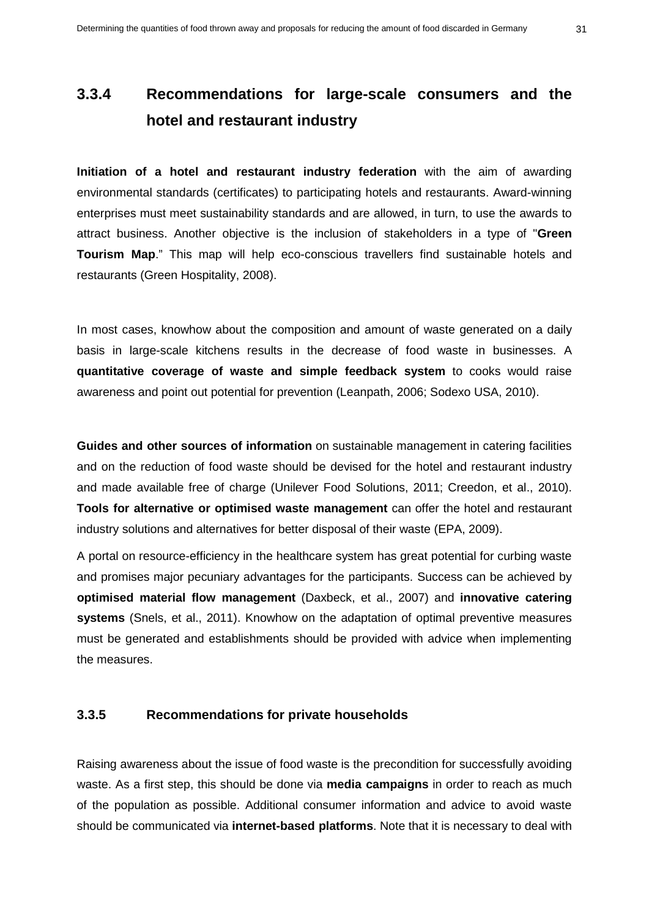# **3.3.4 Recommendations for large-scale consumers and the hotel and restaurant industry**

**Initiation of a hotel and restaurant industry federation** with the aim of awarding environmental standards (certificates) to participating hotels and restaurants. Award-winning enterprises must meet sustainability standards and are allowed, in turn, to use the awards to attract business. Another objective is the inclusion of stakeholders in a type of "**Green Tourism Map**." This map will help eco-conscious travellers find sustainable hotels and restaurants (Green Hospitality, 2008).

In most cases, knowhow about the composition and amount of waste generated on a daily basis in large-scale kitchens results in the decrease of food waste in businesses. A **quantitative coverage of waste and simple feedback system** to cooks would raise awareness and point out potential for prevention (Leanpath, 2006; Sodexo USA, 2010).

**Guides and other sources of information** on sustainable management in catering facilities and on the reduction of food waste should be devised for the hotel and restaurant industry and made available free of charge (Unilever Food Solutions, 2011; Creedon, et al., 2010). **Tools for alternative or optimised waste management** can offer the hotel and restaurant industry solutions and alternatives for better disposal of their waste (EPA, 2009).

A portal on resource-efficiency in the healthcare system has great potential for curbing waste and promises major pecuniary advantages for the participants. Success can be achieved by **optimised material flow management** (Daxbeck, et al., 2007) and **innovative catering systems** (Snels, et al., 2011). Knowhow on the adaptation of optimal preventive measures must be generated and establishments should be provided with advice when implementing the measures.

#### **3.3.5 Recommendations for private households**

Raising awareness about the issue of food waste is the precondition for successfully avoiding waste. As a first step, this should be done via **media campaigns** in order to reach as much of the population as possible. Additional consumer information and advice to avoid waste should be communicated via **internet-based platforms**. Note that it is necessary to deal with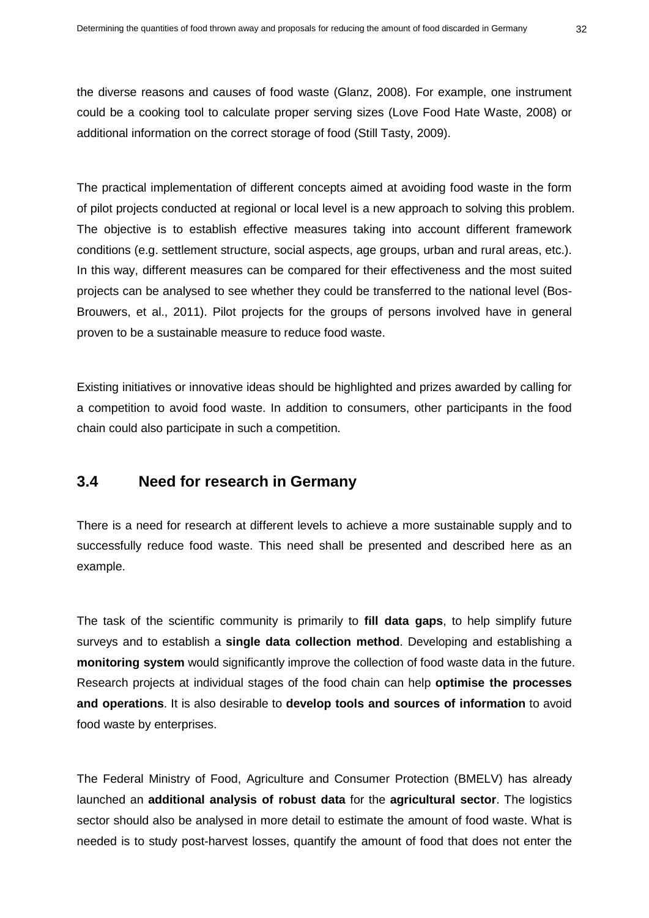the diverse reasons and causes of food waste (Glanz, 2008). For example, one instrument could be a cooking tool to calculate proper serving sizes (Love Food Hate Waste, 2008) or additional information on the correct storage of food (Still Tasty, 2009).

The practical implementation of different concepts aimed at avoiding food waste in the form of pilot projects conducted at regional or local level is a new approach to solving this problem. The objective is to establish effective measures taking into account different framework conditions (e.g. settlement structure, social aspects, age groups, urban and rural areas, etc.). In this way, different measures can be compared for their effectiveness and the most suited projects can be analysed to see whether they could be transferred to the national level (Bos-Brouwers, et al., 2011). Pilot projects for the groups of persons involved have in general proven to be a sustainable measure to reduce food waste.

Existing initiatives or innovative ideas should be highlighted and prizes awarded by calling for a competition to avoid food waste. In addition to consumers, other participants in the food chain could also participate in such a competition.

## <span id="page-33-0"></span>**3.4 Need for research in Germany**

There is a need for research at different levels to achieve a more sustainable supply and to successfully reduce food waste. This need shall be presented and described here as an example.

The task of the scientific community is primarily to **fill data gaps**, to help simplify future surveys and to establish a **single data collection method**. Developing and establishing a **monitoring system** would significantly improve the collection of food waste data in the future. Research projects at individual stages of the food chain can help **optimise the processes and operations**. It is also desirable to **develop tools and sources of information** to avoid food waste by enterprises.

The Federal Ministry of Food, Agriculture and Consumer Protection (BMELV) has already launched an **additional analysis of robust data** for the **agricultural sector**. The logistics sector should also be analysed in more detail to estimate the amount of food waste. What is needed is to study post-harvest losses, quantify the amount of food that does not enter the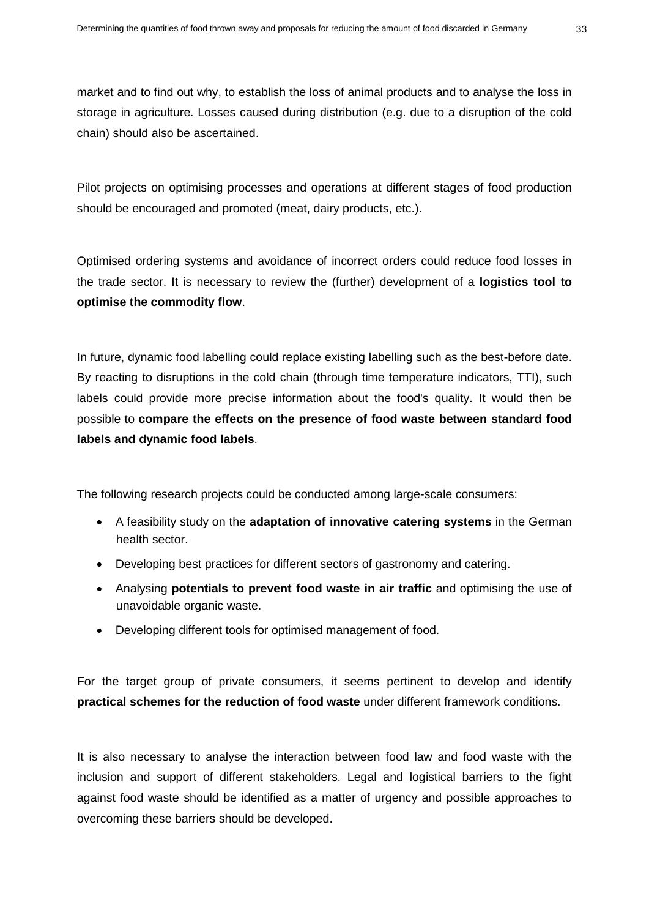market and to find out why, to establish the loss of animal products and to analyse the loss in storage in agriculture. Losses caused during distribution (e.g. due to a disruption of the cold chain) should also be ascertained.

Pilot projects on optimising processes and operations at different stages of food production should be encouraged and promoted (meat, dairy products, etc.).

Optimised ordering systems and avoidance of incorrect orders could reduce food losses in the trade sector. It is necessary to review the (further) development of a **logistics tool to optimise the commodity flow**.

In future, dynamic food labelling could replace existing labelling such as the best-before date. By reacting to disruptions in the cold chain (through time temperature indicators, TTI), such labels could provide more precise information about the food's quality. It would then be possible to **compare the effects on the presence of food waste between standard food labels and dynamic food labels**.

The following research projects could be conducted among large-scale consumers:

- A feasibility study on the **adaptation of innovative catering systems** in the German health sector.
- Developing best practices for different sectors of gastronomy and catering.
- Analysing **potentials to prevent food waste in air traffic** and optimising the use of unavoidable organic waste.
- Developing different tools for optimised management of food.

For the target group of private consumers, it seems pertinent to develop and identify **practical schemes for the reduction of food waste** under different framework conditions.

It is also necessary to analyse the interaction between food law and food waste with the inclusion and support of different stakeholders. Legal and logistical barriers to the fight against food waste should be identified as a matter of urgency and possible approaches to overcoming these barriers should be developed.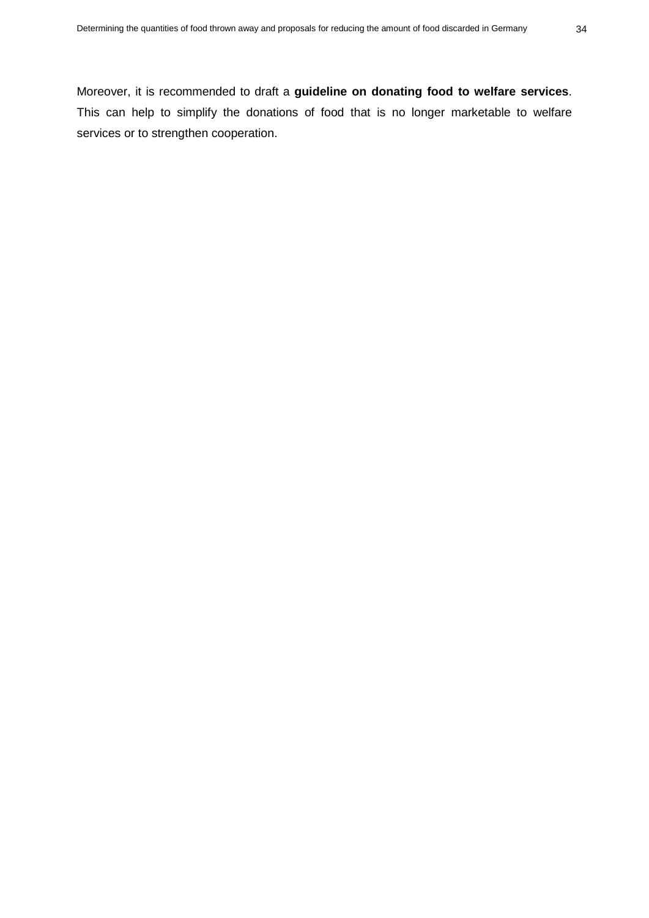Moreover, it is recommended to draft a **guideline on donating food to welfare services**. This can help to simplify the donations of food that is no longer marketable to welfare services or to strengthen cooperation.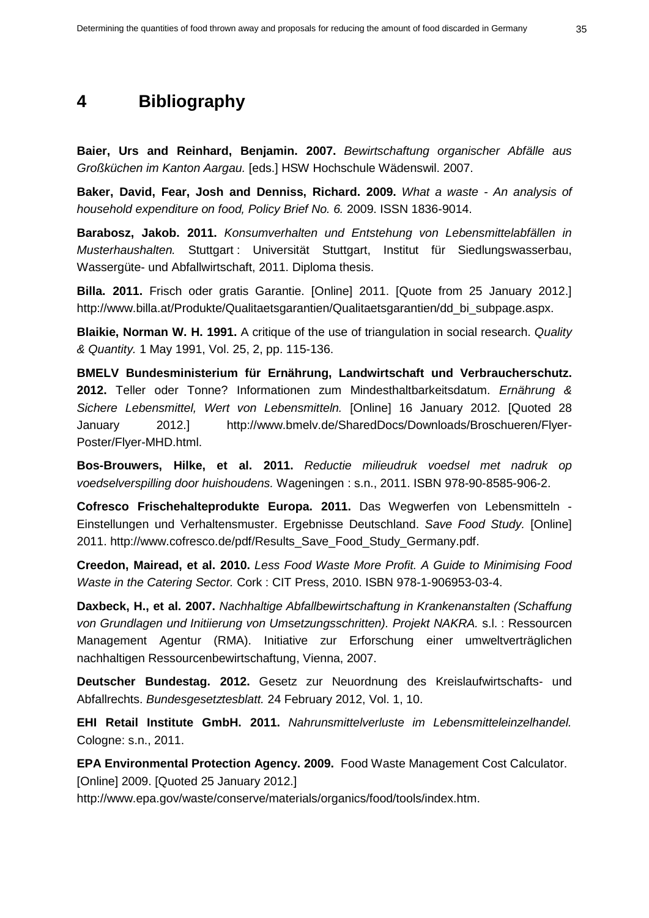# <span id="page-36-0"></span>**4 Bibliography**

**Baier, Urs and Reinhard, Benjamin. 2007.** *Bewirtschaftung organischer Abfälle aus Großküchen im Kanton Aargau.* [eds.] HSW Hochschule Wädenswil. 2007.

**Baker, David, Fear, Josh and Denniss, Richard. 2009.** *What a waste - An analysis of household expenditure on food, Policy Brief No. 6.* 2009. ISSN 1836-9014.

**Barabosz, Jakob. 2011.** *Konsumverhalten und Entstehung von Lebensmittelabfällen in Musterhaushalten.* Stuttgart : Universität Stuttgart, Institut für Siedlungswasserbau, Wassergüte- und Abfallwirtschaft, 2011. Diploma thesis.

**Billa. 2011.** Frisch oder gratis Garantie. [Online] 2011. [Quote from 25 January 2012.] http://www.billa.at/Produkte/Qualitaetsgarantien/Qualitaetsgarantien/dd\_bi\_subpage.aspx.

**Blaikie, Norman W. H. 1991.** A critique of the use of triangulation in social research. *Quality & Quantity.* 1 May 1991, Vol. 25, 2, pp. 115-136.

**BMELV Bundesministerium für Ernährung, Landwirtschaft und Verbraucherschutz. 2012.** Teller oder Tonne? Informationen zum Mindesthaltbarkeitsdatum. *Ernährung & Sichere Lebensmittel, Wert von Lebensmitteln.* [Online] 16 January 2012. [Quoted 28 January 2012.] http://www.bmelv.de/SharedDocs/Downloads/Broschueren/Flyer-Poster/Flyer-MHD.html.

**Bos-Brouwers, Hilke, et al. 2011.** *Reductie milieudruk voedsel met nadruk op voedselverspilling door huishoudens.* Wageningen : s.n., 2011. ISBN 978-90-8585-906-2.

**Cofresco Frischehalteprodukte Europa. 2011.** Das Wegwerfen von Lebensmitteln - Einstellungen und Verhaltensmuster. Ergebnisse Deutschland. *Save Food Study.* [Online] 2011. http://www.cofresco.de/pdf/Results\_Save\_Food\_Study\_Germany.pdf.

**Creedon, Mairead, et al. 2010.** *Less Food Waste More Profit. A Guide to Minimising Food Waste in the Catering Sector.* Cork : CIT Press, 2010. ISBN 978-1-906953-03-4.

**Daxbeck, H., et al. 2007.** *Nachhaltige Abfallbewirtschaftung in Krankenanstalten (Schaffung von Grundlagen und Initiierung von Umsetzungsschritten). Projekt NAKRA.* s.l. : Ressourcen Management Agentur (RMA). Initiative zur Erforschung einer umweltverträglichen nachhaltigen Ressourcenbewirtschaftung, Vienna, 2007.

**Deutscher Bundestag. 2012.** Gesetz zur Neuordnung des Kreislaufwirtschafts- und Abfallrechts. *Bundesgesetztesblatt.* 24 February 2012, Vol. 1, 10.

**EHI Retail Institute GmbH. 2011.** *Nahrunsmittelverluste im Lebensmitteleinzelhandel.*  Cologne: s.n., 2011.

**EPA Environmental Protection Agency. 2009.** Food Waste Management Cost Calculator. [Online] 2009. [Quoted 25 January 2012.]

http://www.epa.gov/waste/conserve/materials/organics/food/tools/index.htm.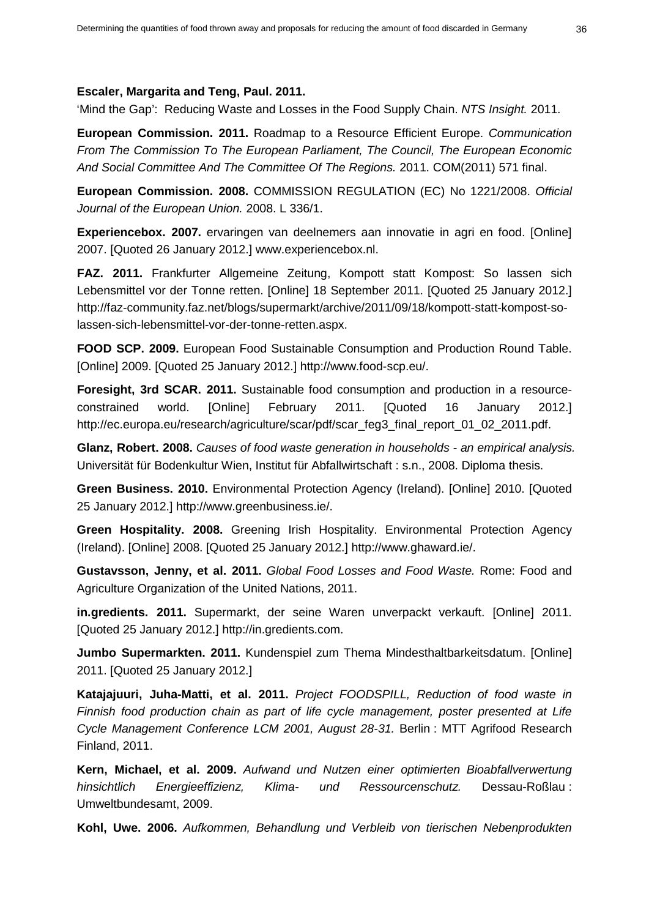#### **Escaler, Margarita and Teng, Paul. 2011.**

'Mind the Gap': Reducing Waste and Losses in the Food Supply Chain. *NTS Insight.* 2011.

**European Commission. 2011.** Roadmap to a Resource Efficient Europe. *Communication From The Commission To The European Parliament, The Council, The European Economic And Social Committee And The Committee Of The Regions.* 2011. COM(2011) 571 final.

**European Commission. 2008.** COMMISSION REGULATION (EC) No 1221/2008. *Official Journal of the European Union.* 2008. L 336/1.

**Experiencebox. 2007.** ervaringen van deelnemers aan innovatie in agri en food. [Online] 2007. [Quoted 26 January 2012.] www.experiencebox.nl.

**FAZ. 2011.** Frankfurter Allgemeine Zeitung, Kompott statt Kompost: So lassen sich Lebensmittel vor der Tonne retten. [Online] 18 September 2011. [Quoted 25 January 2012.] http://faz-community.faz.net/blogs/supermarkt/archive/2011/09/18/kompott-statt-kompost-solassen-sich-lebensmittel-vor-der-tonne-retten.aspx.

**FOOD SCP. 2009.** European Food Sustainable Consumption and Production Round Table. [Online] 2009. [Quoted 25 January 2012.] http://www.food-scp.eu/.

**Foresight, 3rd SCAR. 2011.** Sustainable food consumption and production in a resourceconstrained world. [Online] February 2011. [Quoted 16 January 2012.] http://ec.europa.eu/research/agriculture/scar/pdf/scar\_feg3\_final\_report\_01\_02\_2011.pdf.

**Glanz, Robert. 2008.** *Causes of food waste generation in households - an empirical analysis.*  Universität für Bodenkultur Wien, Institut für Abfallwirtschaft : s.n., 2008. Diploma thesis.

**Green Business. 2010.** Environmental Protection Agency (Ireland). [Online] 2010. [Quoted 25 January 2012.] http://www.greenbusiness.ie/.

**Green Hospitality. 2008.** Greening Irish Hospitality. Environmental Protection Agency (Ireland). [Online] 2008. [Quoted 25 January 2012.] http://www.ghaward.ie/.

**Gustavsson, Jenny, et al. 2011.** *Global Food Losses and Food Waste.* Rome: Food and Agriculture Organization of the United Nations, 2011.

**in.gredients. 2011.** Supermarkt, der seine Waren unverpackt verkauft. [Online] 2011. [Quoted 25 January 2012.] http://in.gredients.com.

**Jumbo Supermarkten. 2011.** Kundenspiel zum Thema Mindesthaltbarkeitsdatum. [Online] 2011. [Quoted 25 January 2012.]

**Katajajuuri, Juha-Matti, et al. 2011.** *Project FOODSPILL, Reduction of food waste in Finnish food production chain as part of life cycle management, poster presented at Life Cycle Management Conference LCM 2001, August 28-31.* Berlin : MTT Agrifood Research Finland, 2011.

**Kern, Michael, et al. 2009.** *Aufwand und Nutzen einer optimierten Bioabfallverwertung hinsichtlich Energieeffizienz, Klima- und Ressourcenschutz.* Dessau-Roßlau : Umweltbundesamt, 2009.

**Kohl, Uwe. 2006.** *Aufkommen, Behandlung und Verbleib von tierischen Nebenprodukten*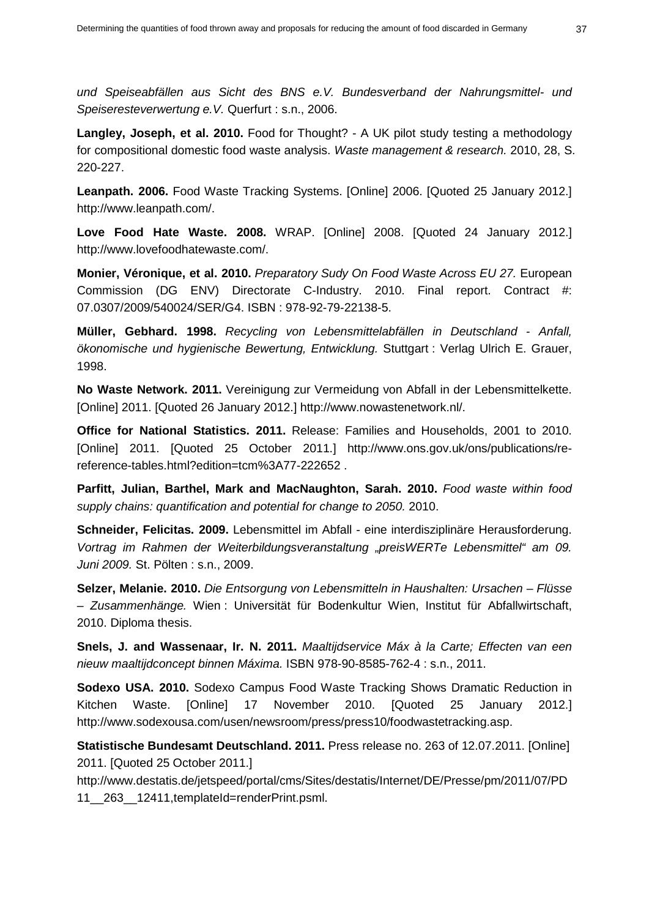*und Speiseabfällen aus Sicht des BNS e.V. Bundesverband der Nahrungsmittel- und Speiseresteverwertung e.V.* Querfurt : s.n., 2006.

**Langley, Joseph, et al. 2010.** Food for Thought? - A UK pilot study testing a methodology for compositional domestic food waste analysis. *Waste management & research.* 2010, 28, S. 220-227.

**Leanpath. 2006.** Food Waste Tracking Systems. [Online] 2006. [Quoted 25 January 2012.] http://www.leanpath.com/.

**Love Food Hate Waste. 2008.** WRAP. [Online] 2008. [Quoted 24 January 2012.] http://www.lovefoodhatewaste.com/.

**Monier, Véronique, et al. 2010.** *Preparatory Sudy On Food Waste Across EU 27.* European Commission (DG ENV) Directorate C-Industry. 2010. Final report. Contract #: 07.0307/2009/540024/SER/G4. ISBN : 978-92-79-22138-5.

**Müller, Gebhard. 1998.** *Recycling von Lebensmittelabfällen in Deutschland - Anfall, ökonomische und hygienische Bewertung, Entwicklung.* Stuttgart : Verlag Ulrich E. Grauer, 1998.

**No Waste Network. 2011.** Vereinigung zur Vermeidung von Abfall in der Lebensmittelkette. [Online] 2011. [Quoted 26 January 2012.] http://www.nowastenetwork.nl/.

**Office for National Statistics. 2011.** Release: Families and Households, 2001 to 2010. [Online] 2011. [Quoted 25 October 2011.] http://www.ons.gov.uk/ons/publications/rereference-tables.html?edition=tcm%3A77-222652 .

**Parfitt, Julian, Barthel, Mark and MacNaughton, Sarah. 2010.** *Food waste within food supply chains: quantification and potential for change to 2050.* 2010.

**Schneider, Felicitas. 2009.** Lebensmittel im Abfall - eine interdisziplinäre Herausforderung. *Vortrag im Rahmen der Weiterbildungsveranstaltung "preisWERTe Lebensmittel" am 09. Juni 2009.* St. Pölten : s.n., 2009.

**Selzer, Melanie. 2010.** *Die Entsorgung von Lebensmitteln in Haushalten: Ursachen – Flüsse – Zusammenhänge.* Wien : Universität für Bodenkultur Wien, Institut für Abfallwirtschaft, 2010. Diploma thesis.

**Snels, J. and Wassenaar, Ir. N. 2011.** *Maaltijdservice Máx à la Carte; Effecten van een nieuw maaltijdconcept binnen Máxima.* ISBN 978-90-8585-762-4 : s.n., 2011.

**Sodexo USA. 2010.** Sodexo Campus Food Waste Tracking Shows Dramatic Reduction in Kitchen Waste. [Online] 17 November 2010. [Quoted 25 January 2012.] http://www.sodexousa.com/usen/newsroom/press/press10/foodwastetracking.asp.

**Statistische Bundesamt Deutschland. 2011.** Press release no. 263 of 12.07.2011. [Online] 2011. [Quoted 25 October 2011.]

http://www.destatis.de/jetspeed/portal/cms/Sites/destatis/Internet/DE/Presse/pm/2011/07/PD 11\_\_263\_\_12411,templateId=renderPrint.psml.